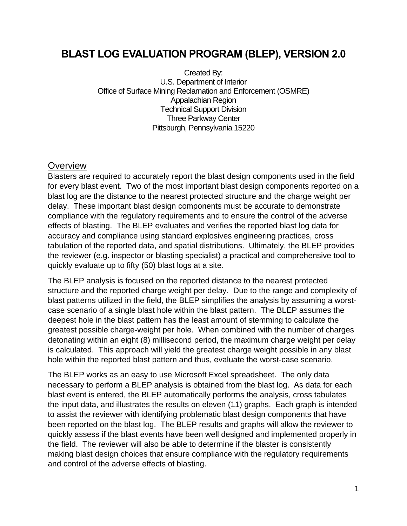# **BLAST LOG EVALUATION PROGRAM (BLEP), VERSION 2.0**

Created By: U.S. Department of Interior Office of Surface Mining Reclamation and Enforcement (OSMRE) Appalachian Region Technical Support Division Three Parkway Center Pittsburgh, Pennsylvania 15220

## **Overview**

Blasters are required to accurately report the blast design components used in the field for every blast event. Two of the most important blast design components reported on a blast log are the distance to the nearest protected structure and the charge weight per delay. These important blast design components must be accurate to demonstrate compliance with the regulatory requirements and to ensure the control of the adverse effects of blasting. The BLEP evaluates and verifies the reported blast log data for accuracy and compliance using standard explosives engineering practices, cross tabulation of the reported data, and spatial distributions. Ultimately, the BLEP provides the reviewer (e.g. inspector or blasting specialist) a practical and comprehensive tool to quickly evaluate up to fifty (50) blast logs at a site.

The BLEP analysis is focused on the reported distance to the nearest protected structure and the reported charge weight per delay. Due to the range and complexity of blast patterns utilized in the field, the BLEP simplifies the analysis by assuming a worstcase scenario of a single blast hole within the blast pattern. The BLEP assumes the deepest hole in the blast pattern has the least amount of stemming to calculate the greatest possible charge-weight per hole. When combined with the number of charges detonating within an eight (8) millisecond period, the maximum charge weight per delay is calculated. This approach will yield the greatest charge weight possible in any blast hole within the reported blast pattern and thus, evaluate the worst-case scenario.

The BLEP works as an easy to use Microsoft Excel spreadsheet. The only data necessary to perform a BLEP analysis is obtained from the blast log. As data for each blast event is entered, the BLEP automatically performs the analysis, cross tabulates the input data, and illustrates the results on eleven (11) graphs. Each graph is intended to assist the reviewer with identifying problematic blast design components that have been reported on the blast log. The BLEP results and graphs will allow the reviewer to quickly assess if the blast events have been well designed and implemented properly in the field. The reviewer will also be able to determine if the blaster is consistently making blast design choices that ensure compliance with the regulatory requirements and control of the adverse effects of blasting.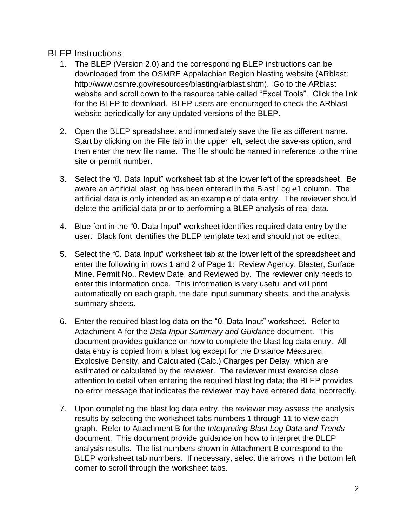## BLEP Instructions

- 1. The BLEP (Version 2.0) and the corresponding BLEP instructions can be downloaded from the OSMRE Appalachian Region blasting website (ARblast: http://www.osmre.gov/resources/blasting/arblast.shtm). Go to the ARblast website and scroll down to the resource table called "Excel Tools". Click the link for the BLEP to download. BLEP users are encouraged to check the ARblast website periodically for any updated versions of the BLEP.
- 2. Open the BLEP spreadsheet and immediately save the file as different name. Start by clicking on the File tab in the upper left, select the save-as option, and then enter the new file name. The file should be named in reference to the mine site or permit number.
- 3. Select the "0. Data Input" worksheet tab at the lower left of the spreadsheet. Be aware an artificial blast log has been entered in the Blast Log #1 column. The artificial data is only intended as an example of data entry. The reviewer should delete the artificial data prior to performing a BLEP analysis of real data.
- 4. Blue font in the "0. Data Input" worksheet identifies required data entry by the user. Black font identifies the BLEP template text and should not be edited.
- 5. Select the "0. Data Input" worksheet tab at the lower left of the spreadsheet and enter the following in rows 1 and 2 of Page 1: Review Agency, Blaster, Surface Mine, Permit No., Review Date, and Reviewed by. The reviewer only needs to enter this information once. This information is very useful and will print automatically on each graph, the date input summary sheets, and the analysis summary sheets.
- 6. Enter the required blast log data on the "0. Data Input" worksheet. Refer to Attachment A for the *Data Input Summary and Guidance* document. This document provides guidance on how to complete the blast log data entry. All data entry is copied from a blast log except for the Distance Measured, Explosive Density, and Calculated (Calc.) Charges per Delay, which are estimated or calculated by the reviewer. The reviewer must exercise close attention to detail when entering the required blast log data; the BLEP provides no error message that indicates the reviewer may have entered data incorrectly.
- 7. Upon completing the blast log data entry, the reviewer may assess the analysis results by selecting the worksheet tabs numbers 1 through 11 to view each graph. Refer to Attachment B for the *Interpreting Blast Log Data and Trends* document. This document provide guidance on how to interpret the BLEP analysis results. The list numbers shown in Attachment B correspond to the BLEP worksheet tab numbers. If necessary, select the arrows in the bottom left corner to scroll through the worksheet tabs.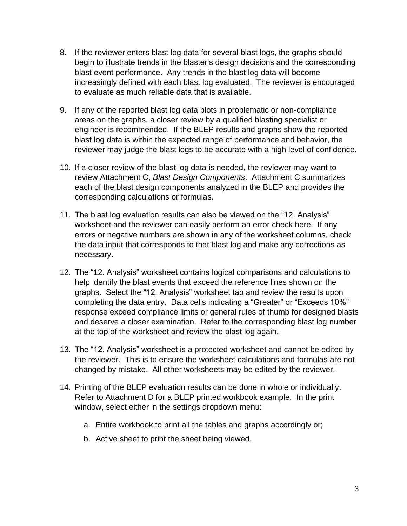- 8. If the reviewer enters blast log data for several blast logs, the graphs should begin to illustrate trends in the blaster's design decisions and the corresponding blast event performance. Any trends in the blast log data will become increasingly defined with each blast log evaluated. The reviewer is encouraged to evaluate as much reliable data that is available.
- 9. If any of the reported blast log data plots in problematic or non-compliance areas on the graphs, a closer review by a qualified blasting specialist or engineer is recommended. If the BLEP results and graphs show the reported blast log data is within the expected range of performance and behavior, the reviewer may judge the blast logs to be accurate with a high level of confidence.
- 10. If a closer review of the blast log data is needed, the reviewer may want to review Attachment C, *Blast Design Components*. Attachment C summarizes each of the blast design components analyzed in the BLEP and provides the corresponding calculations or formulas.
- 11. The blast log evaluation results can also be viewed on the "12. Analysis" worksheet and the reviewer can easily perform an error check here. If any errors or negative numbers are shown in any of the worksheet columns, check the data input that corresponds to that blast log and make any corrections as necessary.
- 12. The "12. Analysis" worksheet contains logical comparisons and calculations to help identify the blast events that exceed the reference lines shown on the graphs. Select the "12. Analysis" worksheet tab and review the results upon completing the data entry. Data cells indicating a "Greater" or "Exceeds 10%" response exceed compliance limits or general rules of thumb for designed blasts and deserve a closer examination. Refer to the corresponding blast log number at the top of the worksheet and review the blast log again.
- 13. The "12. Analysis" worksheet is a protected worksheet and cannot be edited by the reviewer. This is to ensure the worksheet calculations and formulas are not changed by mistake. All other worksheets may be edited by the reviewer.
- 14. Printing of the BLEP evaluation results can be done in whole or individually. Refer to Attachment D for a BLEP printed workbook example. In the print window, select either in the settings dropdown menu:
	- a. Entire workbook to print all the tables and graphs accordingly or;
	- b. Active sheet to print the sheet being viewed.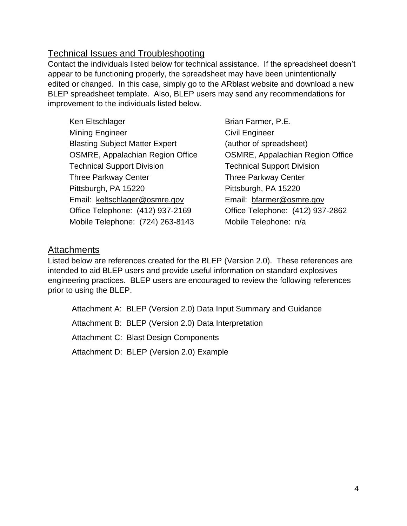## Technical Issues and Troubleshooting

Contact the individuals listed below for technical assistance. If the spreadsheet doesn't appear to be functioning properly, the spreadsheet may have been unintentionally edited or changed. In this case, simply go to the ARblast website and download a new BLEP spreadsheet template. Also, BLEP users may send any recommendations for improvement to the individuals listed below.

Ken Eltschlager Brian Farmer, P.E. Mining Engineer Civil Engineer Blasting Subject Matter Expert (author of spreadsheet) OSMRE, Appalachian Region Office OSMRE, Appalachian Region Office Technical Support Division Technical Support Division Three Parkway Center Three Parkway Center Pittsburgh, PA 15220 Pittsburgh, PA 15220 Email: [keltschlager@osmre.gov](mailto:keltschlager@osmre.gov) Email: [bfarmer@osmre.gov](mailto:bfarmer@osmre.gov) Office Telephone: (412) 937-2169 Office Telephone: (412) 937-2862 Mobile Telephone: (724) 263-8143 Mobile Telephone: n/a

## Attachments

Listed below are references created for the BLEP (Version 2.0). These references are intended to aid BLEP users and provide useful information on standard explosives engineering practices. BLEP users are encouraged to review the following references prior to using the BLEP.

Attachment A: BLEP (Version 2.0) Data Input Summary and Guidance Attachment B: BLEP (Version 2.0) Data Interpretation Attachment C: Blast Design Components Attachment D: BLEP (Version 2.0) Example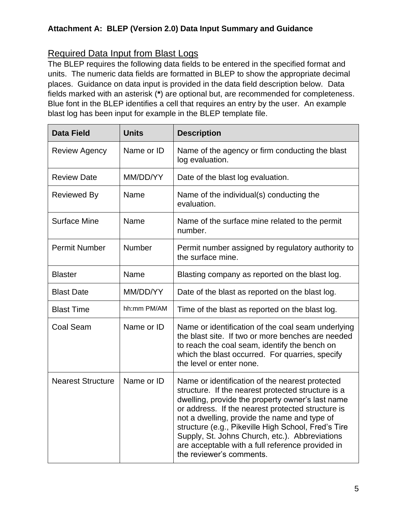# Required Data Input from Blast Logs

The BLEP requires the following data fields to be entered in the specified format and units. The numeric data fields are formatted in BLEP to show the appropriate decimal places. Guidance on data input is provided in the data field description below. Data fields marked with an asterisk (**\***) are optional but, are recommended for completeness. Blue font in the BLEP identifies a cell that requires an entry by the user. An example blast log has been input for example in the BLEP template file.

| <b>Data Field</b>        | <b>Units</b>  | <b>Description</b>                                                                                                                                                                                                                                                                                                                                                                                                                                      |
|--------------------------|---------------|---------------------------------------------------------------------------------------------------------------------------------------------------------------------------------------------------------------------------------------------------------------------------------------------------------------------------------------------------------------------------------------------------------------------------------------------------------|
| <b>Review Agency</b>     | Name or ID    | Name of the agency or firm conducting the blast<br>log evaluation.                                                                                                                                                                                                                                                                                                                                                                                      |
| <b>Review Date</b>       | MM/DD/YY      | Date of the blast log evaluation.                                                                                                                                                                                                                                                                                                                                                                                                                       |
| <b>Reviewed By</b>       | Name          | Name of the individual(s) conducting the<br>evaluation.                                                                                                                                                                                                                                                                                                                                                                                                 |
| <b>Surface Mine</b>      | Name          | Name of the surface mine related to the permit<br>number.                                                                                                                                                                                                                                                                                                                                                                                               |
| <b>Permit Number</b>     | <b>Number</b> | Permit number assigned by regulatory authority to<br>the surface mine.                                                                                                                                                                                                                                                                                                                                                                                  |
| <b>Blaster</b>           | Name          | Blasting company as reported on the blast log.                                                                                                                                                                                                                                                                                                                                                                                                          |
| <b>Blast Date</b>        | MM/DD/YY      | Date of the blast as reported on the blast log.                                                                                                                                                                                                                                                                                                                                                                                                         |
| <b>Blast Time</b>        | hh:mm PM/AM   | Time of the blast as reported on the blast log.                                                                                                                                                                                                                                                                                                                                                                                                         |
| <b>Coal Seam</b>         | Name or ID    | Name or identification of the coal seam underlying<br>the blast site. If two or more benches are needed<br>to reach the coal seam, identify the bench on<br>which the blast occurred. For quarries, specify<br>the level or enter none.                                                                                                                                                                                                                 |
| <b>Nearest Structure</b> | Name or ID    | Name or identification of the nearest protected<br>structure. If the nearest protected structure is a<br>dwelling, provide the property owner's last name<br>or address. If the nearest protected structure is<br>not a dwelling, provide the name and type of<br>structure (e.g., Pikeville High School, Fred's Tire<br>Supply, St. Johns Church, etc.). Abbreviations<br>are acceptable with a full reference provided in<br>the reviewer's comments. |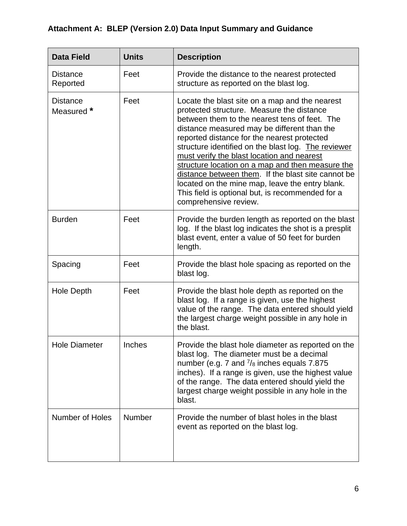| <b>Data Field</b>             | <b>Units</b> | <b>Description</b>                                                                                                                                                                                                                                                                                                                                                                                                                                                                                                                                                                        |
|-------------------------------|--------------|-------------------------------------------------------------------------------------------------------------------------------------------------------------------------------------------------------------------------------------------------------------------------------------------------------------------------------------------------------------------------------------------------------------------------------------------------------------------------------------------------------------------------------------------------------------------------------------------|
| <b>Distance</b><br>Reported   | Feet         | Provide the distance to the nearest protected<br>structure as reported on the blast log.                                                                                                                                                                                                                                                                                                                                                                                                                                                                                                  |
| <b>Distance</b><br>Measured * | Feet         | Locate the blast site on a map and the nearest<br>protected structure. Measure the distance<br>between them to the nearest tens of feet. The<br>distance measured may be different than the<br>reported distance for the nearest protected<br>structure identified on the blast log. The reviewer<br>must verify the blast location and nearest<br>structure location on a map and then measure the<br>distance between them. If the blast site cannot be<br>located on the mine map, leave the entry blank.<br>This field is optional but, is recommended for a<br>comprehensive review. |
| <b>Burden</b>                 | Feet         | Provide the burden length as reported on the blast<br>log. If the blast log indicates the shot is a presplit<br>blast event, enter a value of 50 feet for burden<br>length.                                                                                                                                                                                                                                                                                                                                                                                                               |
| Spacing                       | Feet         | Provide the blast hole spacing as reported on the<br>blast log.                                                                                                                                                                                                                                                                                                                                                                                                                                                                                                                           |
| <b>Hole Depth</b>             | Feet         | Provide the blast hole depth as reported on the<br>blast log. If a range is given, use the highest<br>value of the range. The data entered should yield<br>the largest charge weight possible in any hole in<br>the blast.                                                                                                                                                                                                                                                                                                                                                                |
| <b>Hole Diameter</b>          | Inches       | Provide the blast hole diameter as reported on the<br>blast log. The diameter must be a decimal<br>number (e.g. 7 and $\frac{7}{8}$ inches equals 7.875<br>inches). If a range is given, use the highest value<br>of the range. The data entered should yield the<br>largest charge weight possible in any hole in the<br>blast.                                                                                                                                                                                                                                                          |
| <b>Number of Holes</b>        | Number       | Provide the number of blast holes in the blast<br>event as reported on the blast log.                                                                                                                                                                                                                                                                                                                                                                                                                                                                                                     |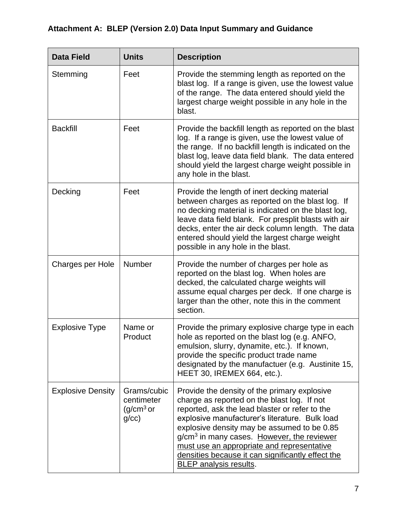| <b>Data Field</b>        | <b>Units</b>                                                | <b>Description</b>                                                                                                                                                                                                                                                                                                                                                                                                                    |
|--------------------------|-------------------------------------------------------------|---------------------------------------------------------------------------------------------------------------------------------------------------------------------------------------------------------------------------------------------------------------------------------------------------------------------------------------------------------------------------------------------------------------------------------------|
| Stemming                 | Feet                                                        | Provide the stemming length as reported on the<br>blast log. If a range is given, use the lowest value<br>of the range. The data entered should yield the<br>largest charge weight possible in any hole in the<br>blast.                                                                                                                                                                                                              |
| <b>Backfill</b>          | Feet                                                        | Provide the backfill length as reported on the blast<br>log. If a range is given, use the lowest value of<br>the range. If no backfill length is indicated on the<br>blast log, leave data field blank. The data entered<br>should yield the largest charge weight possible in<br>any hole in the blast.                                                                                                                              |
| Decking                  | Feet                                                        | Provide the length of inert decking material<br>between charges as reported on the blast log. If<br>no decking material is indicated on the blast log,<br>leave data field blank. For presplit blasts with air<br>decks, enter the air deck column length. The data<br>entered should yield the largest charge weight<br>possible in any hole in the blast.                                                                           |
| Charges per Hole         | Number                                                      | Provide the number of charges per hole as<br>reported on the blast log. When holes are<br>decked, the calculated charge weights will<br>assume equal charges per deck. If one charge is<br>larger than the other, note this in the comment<br>section.                                                                                                                                                                                |
| <b>Explosive Type</b>    | Name or<br>Product                                          | Provide the primary explosive charge type in each<br>hole as reported on the blast log (e.g. ANFO,<br>emulsion, slurry, dynamite, etc.). If known,<br>provide the specific product trade name<br>designated by the manufactuer (e.g. Austinite 15,<br>HEET 30, IREMEX 664, etc.).                                                                                                                                                     |
| <b>Explosive Density</b> | Grams/cubic<br>centimeter<br>(g/cm <sup>3</sup> or<br>g/cc) | Provide the density of the primary explosive<br>charge as reported on the blast log. If not<br>reported, ask the lead blaster or refer to the<br>explosive manufacturer's literature. Bulk load<br>explosive density may be assumed to be 0.85<br>g/cm <sup>3</sup> in many cases. However, the reviewer<br>must use an appropriate and representative<br>densities because it can significantly effect the<br>BLEP analysis results. |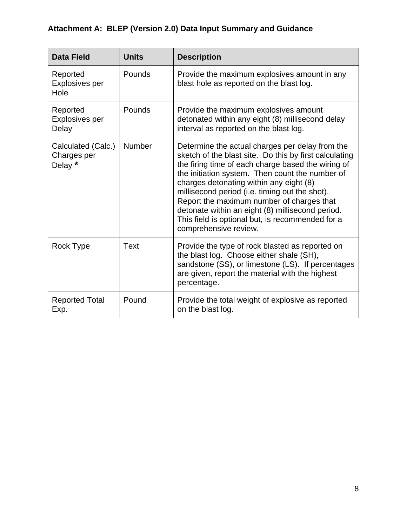| <b>Data Field</b>                            | <b>Units</b> | <b>Description</b>                                                                                                                                                                                                                                                                                                                                                                                                                                                                            |
|----------------------------------------------|--------------|-----------------------------------------------------------------------------------------------------------------------------------------------------------------------------------------------------------------------------------------------------------------------------------------------------------------------------------------------------------------------------------------------------------------------------------------------------------------------------------------------|
| Reported<br>Explosives per<br>Hole           | Pounds       | Provide the maximum explosives amount in any<br>blast hole as reported on the blast log.                                                                                                                                                                                                                                                                                                                                                                                                      |
| Reported<br><b>Explosives per</b><br>Delay   | Pounds       | Provide the maximum explosives amount<br>detonated within any eight (8) millisecond delay<br>interval as reported on the blast log.                                                                                                                                                                                                                                                                                                                                                           |
| Calculated (Calc.)<br>Charges per<br>Delay * | Number       | Determine the actual charges per delay from the<br>sketch of the blast site. Do this by first calculating<br>the firing time of each charge based the wiring of<br>the initiation system. Then count the number of<br>charges detonating within any eight (8)<br>millisecond period (i.e. timing out the shot).<br>Report the maximum number of charges that<br>detonate within an eight (8) millisecond period.<br>This field is optional but, is recommended for a<br>comprehensive review. |
| Rock Type                                    | <b>Text</b>  | Provide the type of rock blasted as reported on<br>the blast log. Choose either shale (SH),<br>sandstone (SS), or limestone (LS). If percentages<br>are given, report the material with the highest<br>percentage.                                                                                                                                                                                                                                                                            |
| <b>Reported Total</b><br>Exp.                | Pound        | Provide the total weight of explosive as reported<br>on the blast log.                                                                                                                                                                                                                                                                                                                                                                                                                        |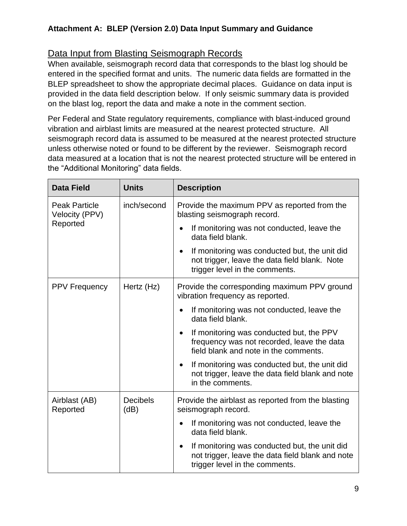## Data Input from Blasting Seismograph Records

When available, seismograph record data that corresponds to the blast log should be entered in the specified format and units. The numeric data fields are formatted in the BLEP spreadsheet to show the appropriate decimal places. Guidance on data input is provided in the data field description below. If only seismic summary data is provided on the blast log, report the data and make a note in the comment section.

Per Federal and State regulatory requirements, compliance with blast-induced ground vibration and airblast limits are measured at the nearest protected structure. All seismograph record data is assumed to be measured at the nearest protected structure unless otherwise noted or found to be different by the reviewer. Seismograph record data measured at a location that is not the nearest protected structure will be entered in the "Additional Monitoring" data fields.

| <b>Data Field</b>                      | <b>Units</b>            | <b>Description</b>                                                                                                                               |
|----------------------------------------|-------------------------|--------------------------------------------------------------------------------------------------------------------------------------------------|
| <b>Peak Particle</b><br>Velocity (PPV) | inch/second             | Provide the maximum PPV as reported from the<br>blasting seismograph record.                                                                     |
| Reported                               |                         | If monitoring was not conducted, leave the<br>data field blank.                                                                                  |
|                                        |                         | If monitoring was conducted but, the unit did<br>$\bullet$<br>not trigger, leave the data field blank. Note<br>trigger level in the comments.    |
| <b>PPV Frequency</b>                   | Hertz (Hz)              | Provide the corresponding maximum PPV ground<br>vibration frequency as reported.                                                                 |
|                                        |                         | If monitoring was not conducted, leave the<br>data field blank.                                                                                  |
|                                        |                         | If monitoring was conducted but, the PPV<br>frequency was not recorded, leave the data<br>field blank and note in the comments.                  |
|                                        |                         | If monitoring was conducted but, the unit did<br>$\bullet$<br>not trigger, leave the data field blank and note<br>in the comments.               |
| Airblast (AB)<br>Reported              | <b>Decibels</b><br>(dB) | Provide the airblast as reported from the blasting<br>seismograph record.                                                                        |
|                                        |                         | If monitoring was not conducted, leave the<br>data field blank.                                                                                  |
|                                        |                         | If monitoring was conducted but, the unit did<br>$\bullet$<br>not trigger, leave the data field blank and note<br>trigger level in the comments. |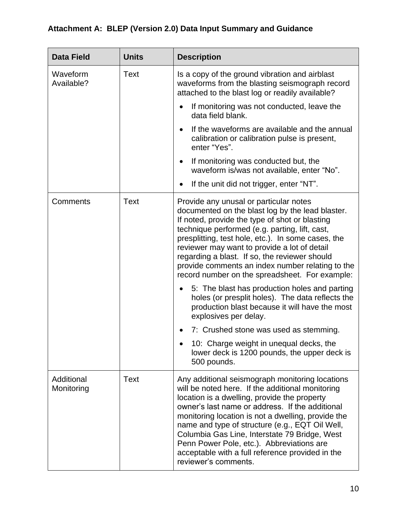| <b>Data Field</b>        | <b>Units</b> | <b>Description</b>                                                                                                                                                                                                                                                                                                                                                                                                                                                                        |
|--------------------------|--------------|-------------------------------------------------------------------------------------------------------------------------------------------------------------------------------------------------------------------------------------------------------------------------------------------------------------------------------------------------------------------------------------------------------------------------------------------------------------------------------------------|
| Waveform<br>Available?   | <b>Text</b>  | Is a copy of the ground vibration and airblast<br>waveforms from the blasting seismograph record<br>attached to the blast log or readily available?                                                                                                                                                                                                                                                                                                                                       |
|                          |              | If monitoring was not conducted, leave the<br>data field blank.                                                                                                                                                                                                                                                                                                                                                                                                                           |
|                          |              | If the waveforms are available and the annual<br>calibration or calibration pulse is present,<br>enter "Yes".                                                                                                                                                                                                                                                                                                                                                                             |
|                          |              | If monitoring was conducted but, the<br>waveform is/was not available, enter "No".                                                                                                                                                                                                                                                                                                                                                                                                        |
|                          |              | If the unit did not trigger, enter "NT".                                                                                                                                                                                                                                                                                                                                                                                                                                                  |
| Comments                 | <b>Text</b>  | Provide any unusal or particular notes<br>documented on the blast log by the lead blaster.<br>If noted, provide the type of shot or blasting<br>technique performed (e.g. parting, lift, cast,<br>presplitting, test hole, etc.). In some cases, the<br>reviewer may want to provide a lot of detail<br>regarding a blast. If so, the reviewer should<br>provide comments an index number relating to the<br>record number on the spreadsheet. For example:                               |
|                          |              | 5: The blast has production holes and parting<br>holes (or presplit holes). The data reflects the<br>production blast because it will have the most<br>explosives per delay.                                                                                                                                                                                                                                                                                                              |
|                          |              | 7: Crushed stone was used as stemming.                                                                                                                                                                                                                                                                                                                                                                                                                                                    |
|                          |              | 10: Charge weight in unequal decks, the<br>lower deck is 1200 pounds, the upper deck is<br>500 pounds.                                                                                                                                                                                                                                                                                                                                                                                    |
| Additional<br>Monitoring | Text         | Any additional seismograph monitoring locations<br>will be noted here. If the additional monitoring<br>location is a dwelling, provide the property<br>owner's last name or address. If the additional<br>monitoring location is not a dwelling, provide the<br>name and type of structure (e.g., EQT Oil Well,<br>Columbia Gas Line, Interstate 79 Bridge, West<br>Penn Power Pole, etc.). Abbreviations are<br>acceptable with a full reference provided in the<br>reviewer's comments. |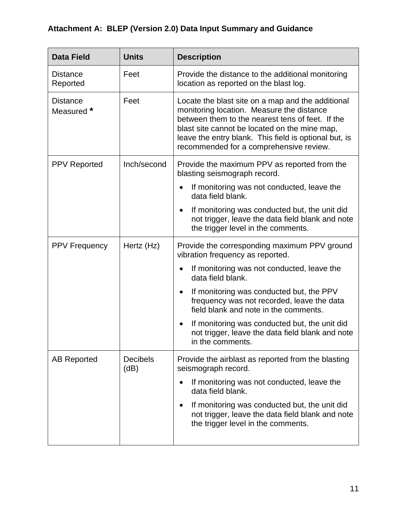| <b>Data Field</b>             | <b>Units</b>            | <b>Description</b>                                                                                                                                                                                                                                                                                      |
|-------------------------------|-------------------------|---------------------------------------------------------------------------------------------------------------------------------------------------------------------------------------------------------------------------------------------------------------------------------------------------------|
| <b>Distance</b><br>Reported   | Feet                    | Provide the distance to the additional monitoring<br>location as reported on the blast log.                                                                                                                                                                                                             |
| <b>Distance</b><br>Measured * | Feet                    | Locate the blast site on a map and the additional<br>monitoring location. Measure the distance<br>between them to the nearest tens of feet. If the<br>blast site cannot be located on the mine map,<br>leave the entry blank. This field is optional but, is<br>recommended for a comprehensive review. |
| <b>PPV Reported</b>           | Inch/second             | Provide the maximum PPV as reported from the<br>blasting seismograph record.                                                                                                                                                                                                                            |
|                               |                         | If monitoring was not conducted, leave the<br>data field blank.                                                                                                                                                                                                                                         |
|                               |                         | If monitoring was conducted but, the unit did<br>not trigger, leave the data field blank and note<br>the trigger level in the comments.                                                                                                                                                                 |
| <b>PPV Frequency</b>          | Hertz (Hz)              | Provide the corresponding maximum PPV ground<br>vibration frequency as reported.                                                                                                                                                                                                                        |
|                               |                         | If monitoring was not conducted, leave the<br>data field blank.                                                                                                                                                                                                                                         |
|                               |                         | If monitoring was conducted but, the PPV<br>frequency was not recorded, leave the data<br>field blank and note in the comments.                                                                                                                                                                         |
|                               |                         | If monitoring was conducted but, the unit did<br>not trigger, leave the data field blank and note<br>in the comments.                                                                                                                                                                                   |
| <b>AB Reported</b>            | <b>Decibels</b><br>(dB) | Provide the airblast as reported from the blasting<br>seismograph record.                                                                                                                                                                                                                               |
|                               |                         | If monitoring was not conducted, leave the<br>٠<br>data field blank.                                                                                                                                                                                                                                    |
|                               |                         | If monitoring was conducted but, the unit did<br>$\bullet$<br>not trigger, leave the data field blank and note<br>the trigger level in the comments.                                                                                                                                                    |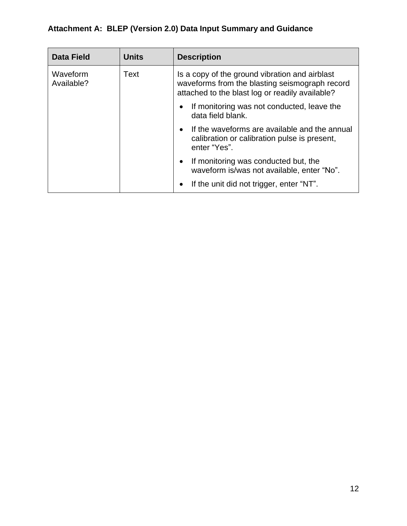| <b>Data Field</b>              | <b>Units</b> | <b>Description</b>                                                                                                                                  |
|--------------------------------|--------------|-----------------------------------------------------------------------------------------------------------------------------------------------------|
| Waveform<br>Text<br>Available? |              | Is a copy of the ground vibration and airblast<br>waveforms from the blasting seismograph record<br>attached to the blast log or readily available? |
|                                |              | If monitoring was not conducted, leave the<br>data field blank.                                                                                     |
|                                |              | If the waveforms are available and the annual<br>$\bullet$<br>calibration or calibration pulse is present,<br>enter "Yes".                          |
|                                |              | If monitoring was conducted but, the<br>waveform is/was not available, enter "No".                                                                  |
|                                |              | If the unit did not trigger, enter "NT".                                                                                                            |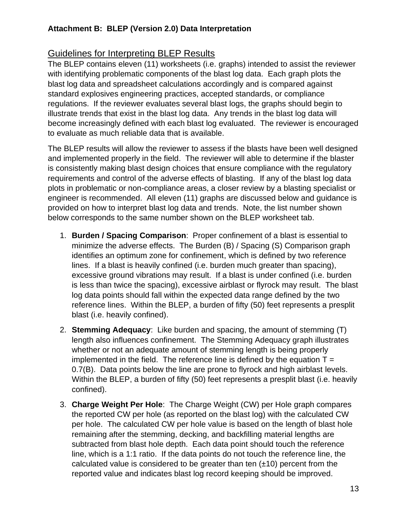## Guidelines for Interpreting BLEP Results

The BLEP contains eleven (11) worksheets (i.e. graphs) intended to assist the reviewer with identifying problematic components of the blast log data. Each graph plots the blast log data and spreadsheet calculations accordingly and is compared against standard explosives engineering practices, accepted standards, or compliance regulations. If the reviewer evaluates several blast logs, the graphs should begin to illustrate trends that exist in the blast log data. Any trends in the blast log data will become increasingly defined with each blast log evaluated. The reviewer is encouraged to evaluate as much reliable data that is available.

The BLEP results will allow the reviewer to assess if the blasts have been well designed and implemented properly in the field. The reviewer will able to determine if the blaster is consistently making blast design choices that ensure compliance with the regulatory requirements and control of the adverse effects of blasting. If any of the blast log data plots in problematic or non-compliance areas, a closer review by a blasting specialist or engineer is recommended. All eleven (11) graphs are discussed below and guidance is provided on how to interpret blast log data and trends. Note, the list number shown below corresponds to the same number shown on the BLEP worksheet tab.

- 1. **Burden / Spacing Comparison**: Proper confinement of a blast is essential to minimize the adverse effects. The Burden (B) / Spacing (S) Comparison graph identifies an optimum zone for confinement, which is defined by two reference lines. If a blast is heavily confined (i.e. burden much greater than spacing), excessive ground vibrations may result. If a blast is under confined (i.e. burden is less than twice the spacing), excessive airblast or flyrock may result. The blast log data points should fall within the expected data range defined by the two reference lines. Within the BLEP, a burden of fifty (50) feet represents a presplit blast (i.e. heavily confined).
- 2. **Stemming Adequacy**: Like burden and spacing, the amount of stemming (T) length also influences confinement. The Stemming Adequacy graph illustrates whether or not an adequate amount of stemming length is being properly implemented in the field. The reference line is defined by the equation  $T =$ 0.7(B). Data points below the line are prone to flyrock and high airblast levels. Within the BLEP, a burden of fifty (50) feet represents a presplit blast (i.e. heavily confined).
- 3. **Charge Weight Per Hole**: The Charge Weight (CW) per Hole graph compares the reported CW per hole (as reported on the blast log) with the calculated CW per hole. The calculated CW per hole value is based on the length of blast hole remaining after the stemming, decking, and backfilling material lengths are subtracted from blast hole depth. Each data point should touch the reference line, which is a 1:1 ratio. If the data points do not touch the reference line, the calculated value is considered to be greater than ten  $(\pm 10)$  percent from the reported value and indicates blast log record keeping should be improved.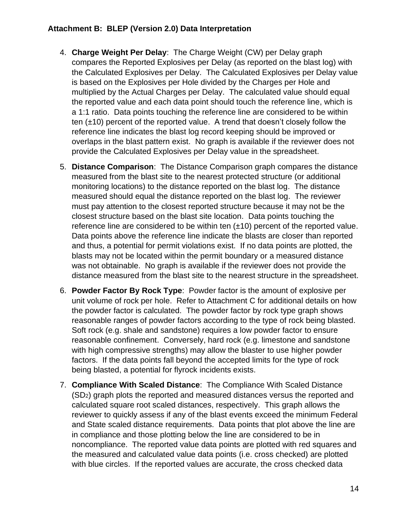- 4. **Charge Weight Per Delay**: The Charge Weight (CW) per Delay graph compares the Reported Explosives per Delay (as reported on the blast log) with the Calculated Explosives per Delay. The Calculated Explosives per Delay value is based on the Explosives per Hole divided by the Charges per Hole and multiplied by the Actual Charges per Delay. The calculated value should equal the reported value and each data point should touch the reference line, which is a 1:1 ratio. Data points touching the reference line are considered to be within ten  $(\pm 10)$  percent of the reported value. A trend that doesn't closely follow the reference line indicates the blast log record keeping should be improved or overlaps in the blast pattern exist. No graph is available if the reviewer does not provide the Calculated Explosives per Delay value in the spreadsheet.
- 5. **Distance Comparison**: The Distance Comparison graph compares the distance measured from the blast site to the nearest protected structure (or additional monitoring locations) to the distance reported on the blast log. The distance measured should equal the distance reported on the blast log. The reviewer must pay attention to the closest reported structure because it may not be the closest structure based on the blast site location. Data points touching the reference line are considered to be within ten  $(\pm 10)$  percent of the reported value. Data points above the reference line indicate the blasts are closer than reported and thus, a potential for permit violations exist. If no data points are plotted, the blasts may not be located within the permit boundary or a measured distance was not obtainable. No graph is available if the reviewer does not provide the distance measured from the blast site to the nearest structure in the spreadsheet.
- 6. **Powder Factor By Rock Type**: Powder factor is the amount of explosive per unit volume of rock per hole. Refer to Attachment C for additional details on how the powder factor is calculated. The powder factor by rock type graph shows reasonable ranges of powder factors according to the type of rock being blasted. Soft rock (e.g. shale and sandstone) requires a low powder factor to ensure reasonable confinement. Conversely, hard rock (e.g. limestone and sandstone with high compressive strengths) may allow the blaster to use higher powder factors. If the data points fall beyond the accepted limits for the type of rock being blasted, a potential for flyrock incidents exists.
- 7. **Compliance With Scaled Distance**: The Compliance With Scaled Distance (SD2) graph plots the reported and measured distances versus the reported and calculated square root scaled distances, respectively. This graph allows the reviewer to quickly assess if any of the blast events exceed the minimum Federal and State scaled distance requirements. Data points that plot above the line are in compliance and those plotting below the line are considered to be in noncompliance. The reported value data points are plotted with red squares and the measured and calculated value data points (i.e. cross checked) are plotted with blue circles. If the reported values are accurate, the cross checked data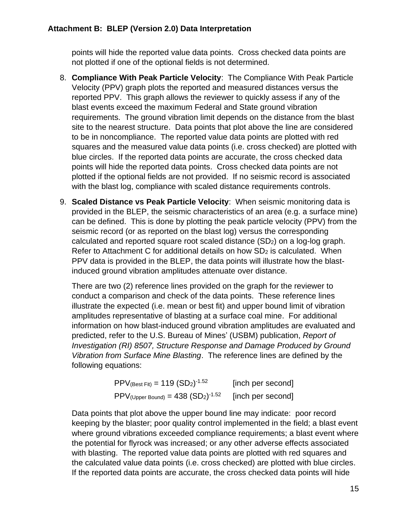points will hide the reported value data points. Cross checked data points are not plotted if one of the optional fields is not determined.

- 8. **Compliance With Peak Particle Velocity**: The Compliance With Peak Particle Velocity (PPV) graph plots the reported and measured distances versus the reported PPV. This graph allows the reviewer to quickly assess if any of the blast events exceed the maximum Federal and State ground vibration requirements. The ground vibration limit depends on the distance from the blast site to the nearest structure. Data points that plot above the line are considered to be in noncompliance. The reported value data points are plotted with red squares and the measured value data points (i.e. cross checked) are plotted with blue circles. If the reported data points are accurate, the cross checked data points will hide the reported data points. Cross checked data points are not plotted if the optional fields are not provided. If no seismic record is associated with the blast log, compliance with scaled distance requirements controls.
- 9. **Scaled Distance vs Peak Particle Velocity**: When seismic monitoring data is provided in the BLEP, the seismic characteristics of an area (e.g. a surface mine) can be defined. This is done by plotting the peak particle velocity (PPV) from the seismic record (or as reported on the blast log) versus the corresponding calculated and reported square root scaled distance (SD2) on a log-log graph. Refer to Attachment C for additional details on how  $SD<sub>2</sub>$  is calculated. When PPV data is provided in the BLEP, the data points will illustrate how the blastinduced ground vibration amplitudes attenuate over distance.

There are two (2) reference lines provided on the graph for the reviewer to conduct a comparison and check of the data points. These reference lines illustrate the expected (i.e. mean or best fit) and upper bound limit of vibration amplitudes representative of blasting at a surface coal mine. For additional information on how blast-induced ground vibration amplitudes are evaluated and predicted, refer to the U.S. Bureau of Mines' (USBM) publication, *Report of Investigation (RI) 8507, Structure Response and Damage Produced by Ground Vibration from Surface Mine Blasting*. The reference lines are defined by the following equations:

| $PPV_{(Best Fit)} = 119 (SD2)-1.52$                 | [inch per second] |
|-----------------------------------------------------|-------------------|
| $PPV$ (Upper Bound) = 438 $(SD_2)$ <sup>-1.52</sup> | [inch per second] |

Data points that plot above the upper bound line may indicate: poor record keeping by the blaster; poor quality control implemented in the field; a blast event where ground vibrations exceeded compliance requirements; a blast event where the potential for flyrock was increased; or any other adverse effects associated with blasting. The reported value data points are plotted with red squares and the calculated value data points (i.e. cross checked) are plotted with blue circles. If the reported data points are accurate, the cross checked data points will hide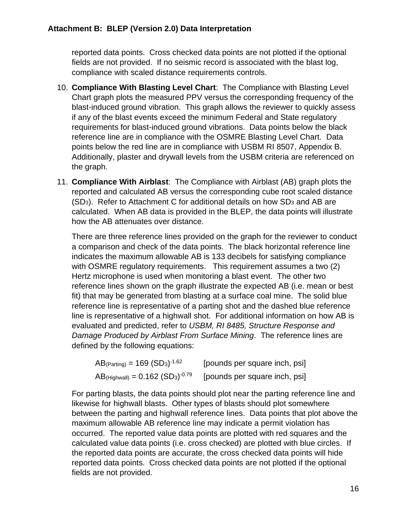reported data points. Cross checked data points are not plotted if the optional fields are not provided. If no seismic record is associated with the blast log, compliance with scaled distance requirements controls.

- 10. **Compliance With Blasting Level Chart**: The Compliance with Blasting Level Chart graph plots the measured PPV versus the corresponding frequency of the blast-induced ground vibration. This graph allows the reviewer to quickly assess if any of the blast events exceed the minimum Federal and State regulatory requirements for blast-induced ground vibrations. Data points below the black reference line are in compliance with the OSMRE Blasting Level Chart. Data points below the red line are in compliance with USBM RI 8507, Appendix B. Additionally, plaster and drywall levels from the USBM criteria are referenced on the graph.
- 11. **Compliance With Airblast**: The Compliance with Airblast (AB) graph plots the reported and calculated AB versus the corresponding cube root scaled distance  $(SD<sub>3</sub>)$ . Refer to Attachment C for additional details on how  $SD<sub>3</sub>$  and AB are calculated. When AB data is provided in the BLEP, the data points will illustrate how the AB attenuates over distance.

There are three reference lines provided on the graph for the reviewer to conduct a comparison and check of the data points. The black horizontal reference line indicates the maximum allowable AB is 133 decibels for satisfying compliance with OSMRE regulatory requirements. This requirement assumes a two (2) Hertz microphone is used when monitoring a blast event. The other two reference lines shown on the graph illustrate the expected AB (i.e. mean or best fit) that may be generated from blasting at a surface coal mine. The solid blue reference line is representative of a parting shot and the dashed blue reference line is representative of a highwall shot. For additional information on how AB is evaluated and predicted, refer to *USBM, RI 8485, Structure Response and Damage Produced by Airblast From Surface Mining*. The reference lines are defined by the following equations:

| $AB$ <sub>(Parting)</sub> = 169 (SD <sub>3</sub> ) <sup>-1.62</sup> | [pounds per square inch, psi] |
|---------------------------------------------------------------------|-------------------------------|
| $AB$ (Highwall) = $0.162$ $(SD_3)^{-0.79}$                          | [pounds per square inch, psi] |

For parting blasts, the data points should plot near the parting reference line and likewise for highwall blasts. Other types of blasts should plot somewhere between the parting and highwall reference lines. Data points that plot above the maximum allowable AB reference line may indicate a permit violation has occurred. The reported value data points are plotted with red squares and the calculated value data points (i.e. cross checked) are plotted with blue circles. If the reported data points are accurate, the cross checked data points will hide reported data points. Cross checked data points are not plotted if the optional fields are not provided.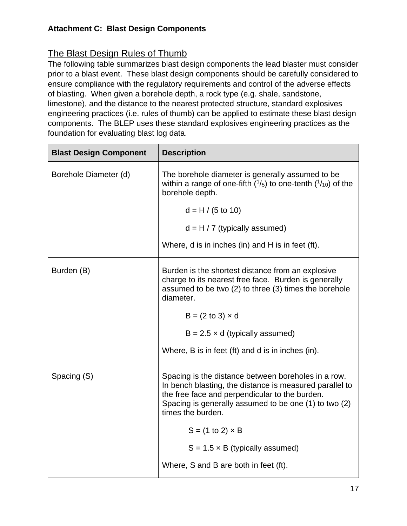# The Blast Design Rules of Thumb

The following table summarizes blast design components the lead blaster must consider prior to a blast event. These blast design components should be carefully considered to ensure compliance with the regulatory requirements and control of the adverse effects of blasting. When given a borehole depth, a rock type (e.g. shale, sandstone, limestone), and the distance to the nearest protected structure, standard explosives engineering practices (i.e. rules of thumb) can be applied to estimate these blast design components. The BLEP uses these standard explosives engineering practices as the foundation for evaluating blast log data.

| <b>Blast Design Component</b> | <b>Description</b>                                                                                                                                                                                                                             |
|-------------------------------|------------------------------------------------------------------------------------------------------------------------------------------------------------------------------------------------------------------------------------------------|
| Borehole Diameter (d)         | The borehole diameter is generally assumed to be<br>within a range of one-fifth $(^{1}/_{5})$ to one-tenth $(^{1}/_{10})$ of the<br>borehole depth.                                                                                            |
|                               | $d = H / (5 to 10)$                                                                                                                                                                                                                            |
|                               | $d = H / 7$ (typically assumed)                                                                                                                                                                                                                |
|                               | Where, d is in inches (in) and H is in feet (ft).                                                                                                                                                                                              |
| Burden (B)                    | Burden is the shortest distance from an explosive<br>charge to its nearest free face. Burden is generally<br>assumed to be two (2) to three (3) times the borehole<br>diameter.                                                                |
|                               | $B = (2 to 3) \times d$                                                                                                                                                                                                                        |
|                               | $B = 2.5 \times d$ (typically assumed)                                                                                                                                                                                                         |
|                               | Where, B is in feet (ft) and d is in inches (in).                                                                                                                                                                                              |
| Spacing (S)                   | Spacing is the distance between boreholes in a row.<br>In bench blasting, the distance is measured parallel to<br>the free face and perpendicular to the burden.<br>Spacing is generally assumed to be one (1) to two (2)<br>times the burden. |
|                               | $S = (1 to 2) \times B$                                                                                                                                                                                                                        |
|                               | $S = 1.5 \times B$ (typically assumed)                                                                                                                                                                                                         |
|                               | Where, S and B are both in feet (ft).                                                                                                                                                                                                          |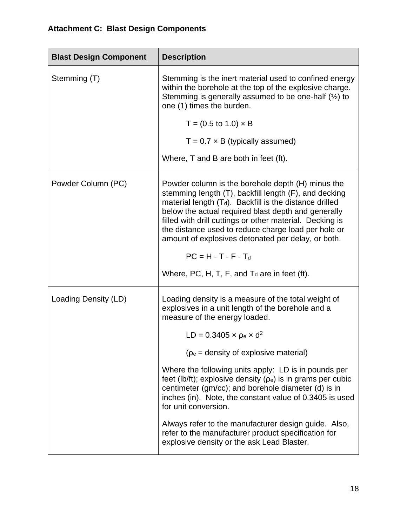| <b>Blast Design Component</b> | <b>Description</b>                                                                                                                                                                                                                                                                                                                                                                                                                |
|-------------------------------|-----------------------------------------------------------------------------------------------------------------------------------------------------------------------------------------------------------------------------------------------------------------------------------------------------------------------------------------------------------------------------------------------------------------------------------|
| Stemming (T)                  | Stemming is the inert material used to confined energy<br>within the borehole at the top of the explosive charge.<br>Stemming is generally assumed to be one-half $(\frac{1}{2})$ to<br>one (1) times the burden.                                                                                                                                                                                                                 |
|                               | $T = (0.5 \text{ to } 1.0) \times B$                                                                                                                                                                                                                                                                                                                                                                                              |
|                               | $T = 0.7 \times B$ (typically assumed)                                                                                                                                                                                                                                                                                                                                                                                            |
|                               | Where, T and B are both in feet (ft).                                                                                                                                                                                                                                                                                                                                                                                             |
| Powder Column (PC)            | Powder column is the borehole depth (H) minus the<br>stemming length (T), backfill length (F), and decking<br>material length $(T_d)$ . Backfill is the distance drilled<br>below the actual required blast depth and generally<br>filled with drill cuttings or other material. Decking is<br>the distance used to reduce charge load per hole or<br>amount of explosives detonated per delay, or both.<br>$PC = H - T - F - Td$ |
|                               | Where, PC, H, T, F, and $T_d$ are in feet (ft).                                                                                                                                                                                                                                                                                                                                                                                   |
| Loading Density (LD)          | Loading density is a measure of the total weight of<br>explosives in a unit length of the borehole and a<br>measure of the energy loaded.                                                                                                                                                                                                                                                                                         |
|                               | $LD = 0.3405 \times p_e \times d^2$                                                                                                                                                                                                                                                                                                                                                                                               |
|                               | $(\rho_e =$ density of explosive material)                                                                                                                                                                                                                                                                                                                                                                                        |
|                               | Where the following units apply: LD is in pounds per<br>feet (lb/ft); explosive density ( $\rho_e$ ) is in grams per cubic<br>centimeter (gm/cc); and borehole diameter (d) is in<br>inches (in). Note, the constant value of 0.3405 is used<br>for unit conversion.                                                                                                                                                              |
|                               | Always refer to the manufacturer design guide. Also,<br>refer to the manufacturer product specification for<br>explosive density or the ask Lead Blaster.                                                                                                                                                                                                                                                                         |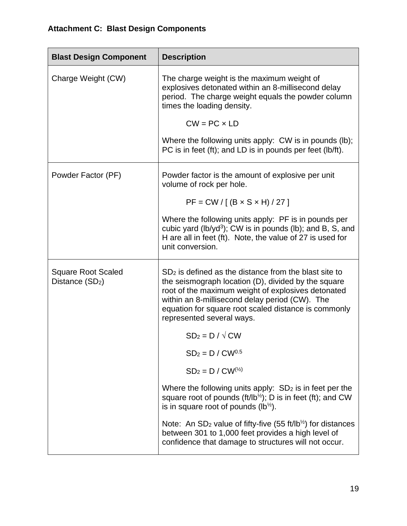| <b>Blast Design Component</b>                            | <b>Description</b>                                                                                                                                                                                                                                                                                          |
|----------------------------------------------------------|-------------------------------------------------------------------------------------------------------------------------------------------------------------------------------------------------------------------------------------------------------------------------------------------------------------|
| Charge Weight (CW)                                       | The charge weight is the maximum weight of<br>explosives detonated within an 8-millisecond delay<br>period. The charge weight equals the powder column<br>times the loading density.                                                                                                                        |
|                                                          | $CW = PC \times LD$                                                                                                                                                                                                                                                                                         |
|                                                          | Where the following units apply: CW is in pounds (lb);<br>PC is in feet (ft); and LD is in pounds per feet (lb/ft).                                                                                                                                                                                         |
| Powder Factor (PF)                                       | Powder factor is the amount of explosive per unit<br>volume of rock per hole.                                                                                                                                                                                                                               |
|                                                          | $PF = CW / [(B \times S \times H) / 27]$                                                                                                                                                                                                                                                                    |
|                                                          | Where the following units apply: PF is in pounds per<br>cubic yard (lb/yd <sup>3</sup> ); CW is in pounds (lb); and B, S, and<br>H are all in feet (ft). Note, the value of 27 is used for<br>unit conversion.                                                                                              |
| <b>Square Root Scaled</b><br>Distance (SD <sub>2</sub> ) | $SD2$ is defined as the distance from the blast site to<br>the seismograph location (D), divided by the square<br>root of the maximum weight of explosives detonated<br>within an 8-millisecond delay period (CW). The<br>equation for square root scaled distance is commonly<br>represented several ways. |
|                                                          | $SD_2 = D / \sqrt{CW}$                                                                                                                                                                                                                                                                                      |
|                                                          | $SD2 = D / CW0.5$                                                                                                                                                                                                                                                                                           |
|                                                          | $SD_2 = D / CW^{(\frac{1}{2})}$                                                                                                                                                                                                                                                                             |
|                                                          | Where the following units apply: $SD2$ is in feet per the<br>square root of pounds ( $ft/lb^{1/2}$ ); D is in feet (ft); and CW<br>is in square root of pounds $(lb^{\frac{1}{2}})$ .                                                                                                                       |
|                                                          | Note: An $SD_2$ value of fifty-five (55 ft/lb <sup>1/2</sup> ) for distances<br>between 301 to 1,000 feet provides a high level of<br>confidence that damage to structures will not occur.                                                                                                                  |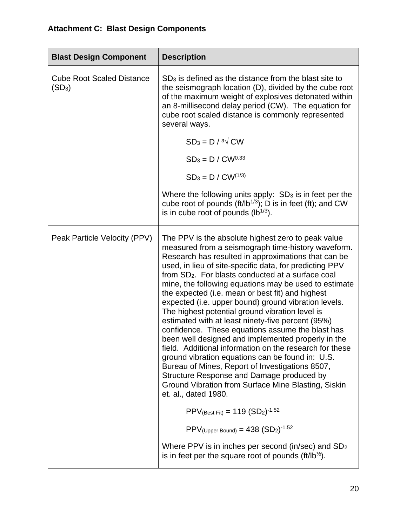| <b>Blast Design Component</b>                | <b>Description</b>                                                                                                                                                                                                                                                                                                                                                                                                                                                                                                                                                                                                                                                                                                                                                                                                                                                                                                                                                               |
|----------------------------------------------|----------------------------------------------------------------------------------------------------------------------------------------------------------------------------------------------------------------------------------------------------------------------------------------------------------------------------------------------------------------------------------------------------------------------------------------------------------------------------------------------------------------------------------------------------------------------------------------------------------------------------------------------------------------------------------------------------------------------------------------------------------------------------------------------------------------------------------------------------------------------------------------------------------------------------------------------------------------------------------|
| <b>Cube Root Scaled Distance</b><br>$(SD_3)$ | $SD3$ is defined as the distance from the blast site to<br>the seismograph location (D), divided by the cube root<br>of the maximum weight of explosives detonated within<br>an 8-millisecond delay period (CW). The equation for<br>cube root scaled distance is commonly represented<br>several ways.<br>$SD_3 = D / \sqrt[3]{CW}$                                                                                                                                                                                                                                                                                                                                                                                                                                                                                                                                                                                                                                             |
|                                              | $SD_3 = D / CW^{0.33}$                                                                                                                                                                                                                                                                                                                                                                                                                                                                                                                                                                                                                                                                                                                                                                                                                                                                                                                                                           |
|                                              | $SD_3 = D / CW^{(1/3)}$                                                                                                                                                                                                                                                                                                                                                                                                                                                                                                                                                                                                                                                                                                                                                                                                                                                                                                                                                          |
|                                              | Where the following units apply: $SD3$ is in feet per the<br>cube root of pounds ( $ft/lb^{1/3}$ ); D is in feet (ft); and CW<br>is in cube root of pounds $(lb^{1/3})$ .                                                                                                                                                                                                                                                                                                                                                                                                                                                                                                                                                                                                                                                                                                                                                                                                        |
| Peak Particle Velocity (PPV)                 | The PPV is the absolute highest zero to peak value<br>measured from a seismograph time-history waveform.<br>Research has resulted in approximations that can be<br>used, in lieu of site-specific data, for predicting PPV<br>from SD <sub>2</sub> . For blasts conducted at a surface coal<br>mine, the following equations may be used to estimate<br>the expected (i.e. mean or best fit) and highest<br>expected (i.e. upper bound) ground vibration levels.<br>The highest potential ground vibration level is<br>estimated with at least ninety-five percent (95%)<br>confidence. These equations assume the blast has<br>been well designed and implemented properly in the<br>field. Additional information on the research for these<br>ground vibration equations can be found in: U.S.<br>Bureau of Mines, Report of Investigations 8507,<br>Structure Response and Damage produced by<br>Ground Vibration from Surface Mine Blasting, Siskin<br>et. al., dated 1980. |
|                                              | $PPV_{(Best Fit)} = 119 (SD2)-1.52$                                                                                                                                                                                                                                                                                                                                                                                                                                                                                                                                                                                                                                                                                                                                                                                                                                                                                                                                              |
|                                              | $PPV$ (Upper Bound) = 438 $(SD_2)$ <sup>-1.52</sup>                                                                                                                                                                                                                                                                                                                                                                                                                                                                                                                                                                                                                                                                                                                                                                                                                                                                                                                              |
|                                              | Where PPV is in inches per second (in/sec) and $SD2$<br>is in feet per the square root of pounds (ft/ $lb^{\frac{1}{2}}$ ).                                                                                                                                                                                                                                                                                                                                                                                                                                                                                                                                                                                                                                                                                                                                                                                                                                                      |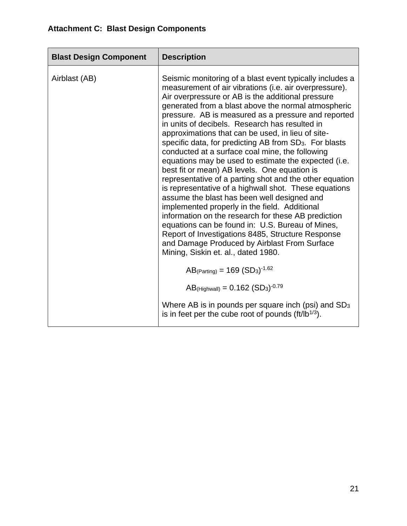| <b>Blast Design Component</b> | <b>Description</b>                                                                                                                                                                                                                                                                                                                                                                                                                                                                                                                                                                                                                                                                                                                                                                                                                                                                                                                                                                                                                                                                                       |
|-------------------------------|----------------------------------------------------------------------------------------------------------------------------------------------------------------------------------------------------------------------------------------------------------------------------------------------------------------------------------------------------------------------------------------------------------------------------------------------------------------------------------------------------------------------------------------------------------------------------------------------------------------------------------------------------------------------------------------------------------------------------------------------------------------------------------------------------------------------------------------------------------------------------------------------------------------------------------------------------------------------------------------------------------------------------------------------------------------------------------------------------------|
| Airblast (AB)                 | Seismic monitoring of a blast event typically includes a<br>measurement of air vibrations (i.e. air overpressure).<br>Air overpressure or AB is the additional pressure<br>generated from a blast above the normal atmospheric<br>pressure. AB is measured as a pressure and reported<br>in units of decibels. Research has resulted in<br>approximations that can be used, in lieu of site-<br>specific data, for predicting AB from SD <sub>3</sub> . For blasts<br>conducted at a surface coal mine, the following<br>equations may be used to estimate the expected (i.e.<br>best fit or mean) AB levels. One equation is<br>representative of a parting shot and the other equation<br>is representative of a highwall shot. These equations<br>assume the blast has been well designed and<br>implemented properly in the field. Additional<br>information on the research for these AB prediction<br>equations can be found in: U.S. Bureau of Mines,<br>Report of Investigations 8485, Structure Response<br>and Damage Produced by Airblast From Surface<br>Mining, Siskin et. al., dated 1980. |
|                               | $AB$ (Parting) = 169 (SD <sub>3</sub> ) <sup>-1.62</sup>                                                                                                                                                                                                                                                                                                                                                                                                                                                                                                                                                                                                                                                                                                                                                                                                                                                                                                                                                                                                                                                 |
|                               | $AB$ (Highwall) = 0.162 (SD <sub>3</sub> ) <sup>-0.79</sup>                                                                                                                                                                                                                                                                                                                                                                                                                                                                                                                                                                                                                                                                                                                                                                                                                                                                                                                                                                                                                                              |
|                               | Where AB is in pounds per square inch (psi) and $SD3$<br>is in feet per the cube root of pounds $(\frac{ft}{lb}^{1/3})$ .                                                                                                                                                                                                                                                                                                                                                                                                                                                                                                                                                                                                                                                                                                                                                                                                                                                                                                                                                                                |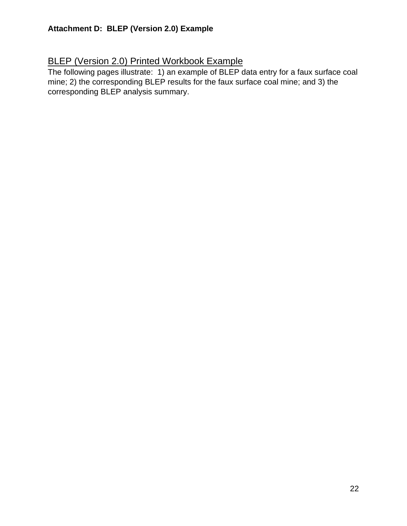# **BLEP (Version 2.0) Printed Workbook Example**

The following pages illustrate: 1) an example of BLEP data entry for a faux surface coal mine; 2) the corresponding BLEP results for the faux surface coal mine; and 3) the corresponding BLEP analysis summary.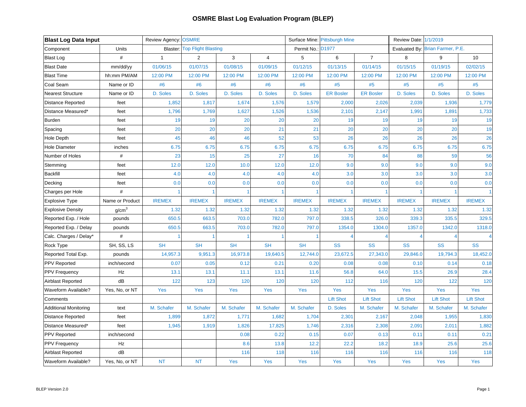| <b>Blast Log Data Input</b>  |                   | <b>Review Agency: OSMRE</b> |                                     |               |                |                   | Surface Mine: Pittsburgh Mine |                  | Review Date: 1/1/2019 |                                  |                  |
|------------------------------|-------------------|-----------------------------|-------------------------------------|---------------|----------------|-------------------|-------------------------------|------------------|-----------------------|----------------------------------|------------------|
| Component                    | Units             |                             | <b>Blaster: Top Flight Blasting</b> |               |                | Permit No.: D1977 |                               |                  |                       | Evaluated By: Brian Farmer, P.E. |                  |
| <b>Blast Log</b>             | $\#$              | $\mathbf{1}$                | $\overline{2}$                      | $\mathbf{3}$  | $\overline{4}$ | $\sqrt{5}$        | 6                             | $\overline{7}$   | 8                     | 9                                | 10               |
| <b>Blast Date</b>            | mm/dd/yy          | 01/06/15                    | 01/07/15                            | 01/08/15      | 01/09/15       | 01/12/15          | 01/13/15                      | 01/14/15         | 01/15/15              | 01/19/15                         | 02/02/15         |
| <b>Blast Time</b>            | hh:mm PM/AM       | 12:00 PM                    | 12:00 PM                            | 12:00 PM      | 12:00 PM       | 12:00 PM          | 12:00 PM                      | 12:00 PM         | 12:00 PM              | 12:00 PM                         | 12:00 PM         |
| Coal Seam                    | Name or ID        | #6                          | #6                                  | #6            | #6             | #6                | #5                            | #5               | $\#5$                 | $\#5$                            | $\#5$            |
| <b>Nearest Structure</b>     | Name or ID        | D. Soles                    | D. Soles                            | D. Soles      | D. Soles       | D. Soles          | <b>ER Bosler</b>              | <b>ER Bosler</b> | D. Soles              | D. Soles                         | D. Soles         |
| Distance Reported            | feet              | 1,852                       | 1,817                               | 1,674         | 1,576          | 1,579             | 2,000                         | 2,026            | 2,039                 | 1,936                            | 1,779            |
| Distance Measured*           | feet              | 1,796                       | 1,769                               | 1,627         | 1,526          | 1,536             | 2,101                         | 2,147            | 1,991                 | 1,891                            | 1,733            |
| <b>Burden</b>                | feet              | 19                          | 19                                  | 20            | 20             | 20                | 19                            | 19               | 19                    | 19                               | 19               |
| Spacing                      | feet              | 20                          | 20                                  | 20            | 21             | 21                | 20                            | 20               | 20                    | 20                               | 19               |
| Hole Depth                   | feet              | 45                          | 46                                  | 46            | 52             | 53                | 26                            | 26               | 26                    | 26                               | 26               |
| <b>Hole Diameter</b>         | inches            | 6.75                        | 6.75                                | 6.75          | 6.75           | 6.75              | 6.75                          | 6.75             | 6.75                  | 6.75                             | 6.75             |
| Number of Holes              | $\#$              | 23                          | 15                                  | 25            | 27             | 16                | 70                            | 84               | 88                    | 59                               | 56               |
| Stemming                     | feet              | 12.0                        | 12.0                                | 10.0          | 12.0           | 12.0              | 9.0                           | 9.0              | 9.0                   | 9.0                              | 9.0              |
| <b>Backfill</b>              | feet              | 4.0                         | 4.0                                 | 4.0           | 4.0            | 4.0               | 3.0                           | 3.0              | 3.0                   | 3.0                              | 3.0              |
| Decking                      | feet              | 0.0                         | 0.0                                 | 0.0           | 0.0            | 0.0               | 0.0                           | 0.0              | 0.0                   | 0.0                              | 0.0              |
| Charges per Hole             | $\#$              | 1                           |                                     | 1             |                | 1                 |                               | 1                |                       | $\overline{1}$                   | $\mathbf{1}$     |
| <b>Explosive Type</b>        | Name or Product   | <b>IREMEX</b>               | <b>IREMEX</b>                       | <b>IREMEX</b> | <b>IREMEX</b>  | <b>IREMEX</b>     | <b>IREMEX</b>                 | <b>IREMEX</b>    | <b>IREMEX</b>         | <b>IREMEX</b>                    | <b>IREMEX</b>    |
| <b>Explosive Density</b>     | g/cm <sup>3</sup> | 1.32                        | 1.32                                | 1.32          | 1.32           | 1.32              | 1.32                          | 1.32             | 1.32                  | 1.32                             | 1.32             |
| Reported Exp. / Hole         | pounds            | 650.5                       | 663.5                               | 703.0         | 782.0          | 797.0             | 338.5                         | 326.0            | 339.3                 | 335.5                            | 329.5            |
| Reported Exp. / Delay        | pounds            | 650.5                       | 663.5                               | 703.0         | 782.0          | 797.0             | 1354.0                        | 1304.0           | 1357.0                | 1342.0                           | 1318.0           |
| Calc. Charges / Delay*       | #                 |                             |                                     |               |                |                   | $\boldsymbol{\varDelta}$      | $\overline{4}$   |                       | $\overline{4}$                   | $\overline{4}$   |
| Rock Type                    | SH, SS, LS        | <b>SH</b>                   | <b>SH</b>                           | <b>SH</b>     | <b>SH</b>      | <b>SH</b>         | <b>SS</b>                     | <b>SS</b>        | <b>SS</b>             | <b>SS</b>                        | SS               |
| Reported Total Exp.          | pounds            | 14,957.3                    | 9,951.3                             | 16,973.8      | 19,640.5       | 12,744.0          | 23,672.5                      | 27,343.0         | 29,846.0              | 19,794.3                         | 18,452.0         |
| PPV Reported                 | inch/second       | 0.07                        | 0.05                                | 0.12          | 0.21           | 0.20              | 0.08                          | 0.08             | 0.10                  | 0.14                             | 0.18             |
| <b>PPV Frequency</b>         | Hz                | 13.1                        | 13.1                                | 11.1          | 13.1           | 11.6              | 56.8                          | 64.0             | 15.5                  | 26.9                             | 28.4             |
| Airblast Reported            | dB                | 122                         | 123                                 | 120           | 120            | 120               | 112                           | 116              | 120                   | 122                              | 120              |
| <b>Waveform Available?</b>   | Yes, No, or NT    | Yes                         | Yes                                 | Yes           | Yes            | Yes               | Yes                           | Yes              | Yes                   | Yes                              | Yes              |
| Comments                     |                   |                             |                                     |               |                |                   | <b>Lift Shot</b>              | <b>Lift Shot</b> | <b>Lift Shot</b>      | <b>Lift Shot</b>                 | <b>Lift Shot</b> |
| <b>Additional Monitoring</b> | text              | M. Schafer                  | M. Schafer                          | M. Schafer    | M. Schafer     | M. Schafer        | D. Soles                      | M. Schafer       | M. Schafer            | M. Schafer                       | M. Schafer       |
| Distance Reported            | feet              | 1,899                       | 1,872                               | 1,771         | 1,682          | 1,704             | 2,301                         | 2,167            | 2,048                 | 1,955                            | 1,830            |
| Distance Measured*           | feet              | 1,945                       | 1,919                               | 1,826         | 17,825         | 1,746             | 2,316                         | 2,308            | 2,091                 | 2,011                            | 1,882            |
| PPV Reported                 | inch/second       |                             |                                     | 0.08          | 0.22           | 0.15              | 0.07                          | 0.13             | 0.11                  | 0.11                             | 0.21             |
| <b>PPV Frequency</b>         | Hz                |                             |                                     | 8.6           | 13.8           | 12.2              | 22.2                          | 18.2             | 18.9                  | 25.6                             | 25.6             |
| Airblast Reported            | dB                |                             |                                     | 116           | 118            | 116               | 116                           | 116              | 116                   | 116                              | 118              |
| Waveform Available?          | Yes, No, or NT    | <b>NT</b>                   | <b>NT</b>                           | Yes           | Yes            | Yes               | Yes                           | Yes              | Yes                   | Yes                              | Yes              |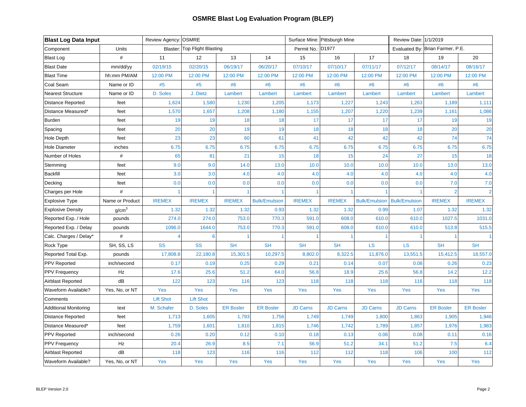| <b>Blast Log Data Input</b>  |                   | Review Agency: OSMRE |                              |                      |                      |                   | Surface Mine: Pittsburgh Mine |                      | Review Date: 1/1/2019 |                                  |                  |
|------------------------------|-------------------|----------------------|------------------------------|----------------------|----------------------|-------------------|-------------------------------|----------------------|-----------------------|----------------------------------|------------------|
| Component                    | Units             |                      | Blaster: Top Flight Blasting |                      |                      | Permit No.: D1977 |                               |                      |                       | Evaluated By: Brian Farmer, P.E. |                  |
| <b>Blast Log</b>             | $\#$              | 11                   | 12                           | 13                   | 14                   | 15                | 16                            | 17                   | 18                    | 19                               | 20               |
| <b>Blast Date</b>            | mm/dd/yy          | 02/19/15             | 02/20/15                     | 06/19/17             | 06/20/17             | 07/10/17          | 07/10/17                      | 07/11/17             | 07/12/17              | 08/14/17                         | 08/16/17         |
| <b>Blast Time</b>            | hh:mm PM/AM       | 12:00 PM             | 12:00 PM                     | 12:00 PM             | 12:00 PM             | 12:00 PM          | 12:00 PM                      | 12:00 PM             | 12:00 PM              | 12:00 PM                         | 12:00 PM         |
| Coal Seam                    | Name or ID        | #5                   | #5                           | #6                   | #6                   | #6                | #6                            | #6                   | #6                    | #6                               | #6               |
| <b>Nearest Structure</b>     | Name or ID        | D. Soles             | J. Dietz                     | Lambert              | Lambert              | Lambert           | Lambert                       | Lambert              | Lambert               | Lambert                          | Lambert          |
| <b>Distance Reported</b>     | feet              | 1,624                | 1,580                        | 1,230                | 1,205                | 1,173             | 1,227                         | 1,243                | 1,263                 | 1,189                            | 1,111            |
| Distance Measured*           | feet              | 1,570                | 1,657                        | 1,208                | 1,180                | 1,155             | 1,207                         | 1,220                | 1,239                 | 1,161                            | 1,086            |
| <b>Burden</b>                | feet              | 19                   | 19                           | 18                   | 18                   | 17                | 17                            | 17                   | 17                    | 19                               | 19               |
| Spacing                      | feet              | 20                   | 20                           | 19                   | 19                   | 18                | 18                            | 18                   | 18                    | 20                               | 20               |
| <b>Hole Depth</b>            | feet              | 23                   | 23                           | 60                   | 61                   | 41                | 42                            | 42                   | 42                    | 74                               | 74               |
| <b>Hole Diameter</b>         | inches            | 6.75                 | 6.75                         | 6.75                 | 6.75                 | 6.75              | 6.75                          | 6.75                 | 6.75                  | 6.75                             | 6.75             |
| Number of Holes              | $\#$              | 65                   | 81                           | 21                   | 15                   | 18                | 15                            | 24                   | 27                    | 15                               | 18               |
| Stemming                     | feet              | 9.0                  | 9.0                          | 14.0                 | 13.0                 | 10.0              | 10.0                          | 10.0                 | 10.0                  | 13.0                             | 13.0             |
| <b>Backfill</b>              | feet              | 3.0                  | 3.0                          | 4.0                  | 4.0                  | 4.0               | 4.0                           | 4.0                  | 4.0                   | 4.0                              | 4.0              |
| Decking                      | feet              | 0.0                  | 0.0                          | 0.0                  | 0.0                  | 0.0               | 0.0                           | 0.0                  | 0.0                   | 7.0                              | 7.0              |
| Charges per Hole             | $\#$              | 1                    |                              |                      |                      | 1                 |                               |                      |                       | $\overline{2}$                   | $\overline{2}$   |
| <b>Explosive Type</b>        | Name or Product   | <b>IREMEX</b>        | <b>IREMEX</b>                | <b>IREMEX</b>        | <b>Bulk/Emulsion</b> | <b>IREMEX</b>     | <b>IREMEX</b>                 | <b>Bulk/Emulsion</b> | <b>Bulk/Emulsion</b>  | <b>IREMEX</b>                    | <b>IREMEX</b>    |
| <b>Explosive Density</b>     | g/cm <sup>3</sup> | 1.32                 | 1.32                         | 1.32                 | 0.93                 | 1.32              | 1.32                          | 0.99                 | 1.07                  | 1.32                             | 1.32             |
| Reported Exp. / Hole         | pounds            | 274.0                | 274.0                        | 753.0                | 770.3                | 591.0             | 608.0                         | 610.0                | 610.0                 | 1027.5                           | 1031.0           |
| Reported Exp. / Delay        | pounds            | 1096.0               | 1644.0                       | 753.0                | 770.3                | 591.0             | 608.0                         | 610.0                | 610.0                 | 513.8                            | 515.5            |
| Calc. Charges / Delay*       | #                 | $\overline{4}$       | 6                            | $\blacktriangleleft$ |                      |                   |                               | $\blacktriangleleft$ |                       |                                  | $\overline{1}$   |
| Rock Type                    | SH, SS, LS        | <b>SS</b>            | <b>SS</b>                    | <b>SH</b>            | <b>SH</b>            | <b>SH</b>         | <b>SH</b>                     | <b>LS</b>            | <b>LS</b>             | <b>SH</b>                        | <b>SH</b>        |
| Reported Total Exp.          | pounds            | 17,808.8             | 22,180.8                     | 15,301.5             | 10,297.5             | 8,802.0           | 8,322.5                       | 11,876.0             | 13,551.5              | 15,412.5                         | 18,557.0         |
| <b>PPV Reported</b>          | inch/second       | 0.17                 | 0.19                         | 0.25                 | 0.29                 | 0.21              | 0.14                          | 0.07                 | 0.08                  | 0.26                             | 0.23             |
| <b>PPV Frequency</b>         | Hz                | 17.6                 | 25.6                         | 51.2                 | 64.0                 | 56.8              | 18.9                          | 25.6                 | 56.8                  | 14.2                             | 12.2             |
| Airblast Reported            | dB                | 122                  | 123                          | 116                  | 123                  | 118               | 118                           | 118                  | 116                   | 118                              | 118              |
| Waveform Available?          | Yes, No, or NT    | Yes                  | Yes                          | Yes                  | Yes                  | Yes               | Yes                           | Yes                  | Yes                   | Yes                              | Yes              |
| Comments                     |                   | <b>Lift Shot</b>     | <b>Lift Shot</b>             |                      |                      |                   |                               |                      |                       |                                  |                  |
| <b>Additional Monitoring</b> | text              | M. Schafer           | D. Soles                     | <b>ER Bosler</b>     | <b>ER Bosler</b>     | <b>JD Carns</b>   | <b>JD Carns</b>               | <b>JD Carns</b>      | <b>JD Carns</b>       | <b>ER Bosler</b>                 | <b>ER Bosler</b> |
| Distance Reported            | feet              | 1,713                | 1,605                        | 1,793                | 1,756                | 1,749             | 1,749                         | 1,800                | 1,863                 | 1,905                            | 1,946            |
| Distance Measured*           | feet              | 1,759                | 1,601                        | 1,810                | 1,815                | 1,746             | 1,742                         | 1,789                | 1,857                 | 1,976                            | 1,983            |
| <b>PPV</b> Reported          | inch/second       | 0.26                 | 0.20                         | 0.12                 | 0.10                 | 0.18              | 0.13                          | 0.06                 | 0.08                  | 0.11                             | 0.16             |
| PPV Frequency                | Hz                | 20.4                 | 26.9                         | 8.5                  | 7.1                  | 56.9              | 51.2                          | 34.1                 | 51.2                  | 7.5                              | 6.4              |
| Airblast Reported            | dB                | 118                  | 123                          | 116                  | 116                  | 112               | 112                           | 118                  | 106                   | 100                              | 112              |
| Waveform Available?          | Yes, No, or NT    | Yes                  | Yes                          | Yes                  | Yes                  | Yes               | Yes                           | Yes                  | Yes                   | Yes                              | Yes              |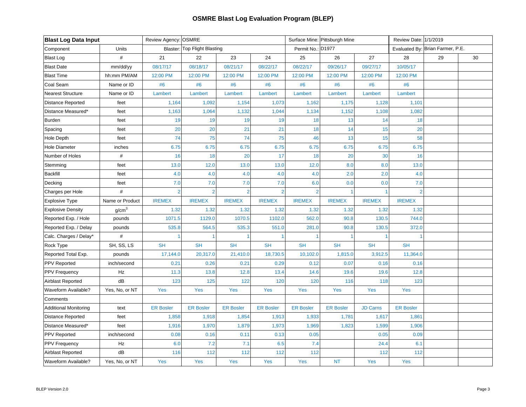| <b>Blast Log Data Input</b>  |                   | Review Agency: OSMRE |                              |                  |                  |                   | Surface Mine: Pittsburgh Mine |                 | Review Date: 1/1/2019 |                                  |    |
|------------------------------|-------------------|----------------------|------------------------------|------------------|------------------|-------------------|-------------------------------|-----------------|-----------------------|----------------------------------|----|
| Component                    | Units             |                      | Blaster: Top Flight Blasting |                  |                  | Permit No.: D1977 |                               |                 |                       | Evaluated By: Brian Farmer, P.E. |    |
| <b>Blast Log</b>             | $\#$              | 21                   | 22                           | 23               | 24               | 25                | 26                            | 27              | 28                    | 29                               | 30 |
| <b>Blast Date</b>            | mm/dd/yy          | 08/17/17             | 08/18/17                     | 08/21/17         | 08/22/17         | 08/22/17          | 09/26/17                      | 09/27/17        | 10/05/17              |                                  |    |
| <b>Blast Time</b>            | hh:mm PM/AM       | 12:00 PM             | 12:00 PM                     | 12:00 PM         | 12:00 PM         | 12:00 PM          | 12:00 PM                      | 12:00 PM        | 12:00 PM              |                                  |    |
| Coal Seam                    | Name or ID        | #6                   | #6                           | #6               | #6               | #6                | #6                            | #6              | #6                    |                                  |    |
| <b>Nearest Structure</b>     | Name or ID        | Lambert              | Lambert                      | Lambert          | Lambert          | Lambert           | Lambert                       | Lambert         | Lambert               |                                  |    |
| Distance Reported            | feet              | 1,164                | 1,092                        | 1,154            | 1,073            | 1,162             | 1,175                         | 1,128           | 1,101                 |                                  |    |
| Distance Measured*           | feet              | 1,163                | 1,064                        | 1,132            | 1,044            | 1,134             | 1,152                         | 1,108           | 1,082                 |                                  |    |
| Burden                       | feet              | 19                   | 19                           | 19               | 19               | 18                | 13                            | 14              | 18                    |                                  |    |
| Spacing                      | feet              | 20                   | 20                           | 21               | 21               | 18                | 14                            | 15              | 20                    |                                  |    |
| Hole Depth                   | feet              | 74                   | 75                           | 74               | 75               | 46                | 13                            | 15              | 58                    |                                  |    |
| <b>Hole Diameter</b>         | inches            | 6.75                 | 6.75                         | 6.75             | 6.75             | 6.75              | 6.75                          | 6.75            | 6.75                  |                                  |    |
| Number of Holes              | $\#$              | 16                   | 18                           | 20               | 17               | 18                | 20                            | 30              | 16                    |                                  |    |
| Stemming                     | feet              | 13.0                 | 12.0                         | 13.0             | 13.0             | 12.0              | 8.0                           | 8.0             | 13.0                  |                                  |    |
| <b>Backfill</b>              | feet              | 4.0                  | 4.0                          | 4.0              | 4.0              | 4.0               | 2.0                           | 2.0             | 4.0                   |                                  |    |
| Decking                      | feet              | 7.0                  | 7.0                          | 7.0              | 7.0              | 6.0               | 0.0                           | 0.0             | 7.0                   |                                  |    |
| Charges per Hole             | #                 | $\overline{2}$       | $\overline{2}$               | $\overline{2}$   | $\overline{2}$   | $\overline{2}$    | 1                             |                 | $\overline{2}$        |                                  |    |
| <b>Explosive Type</b>        | Name or Product   | <b>IREMEX</b>        | <b>IREMEX</b>                | <b>IREMEX</b>    | <b>IREMEX</b>    | <b>IREMEX</b>     | <b>IREMEX</b>                 | <b>IREMEX</b>   | <b>IREMEX</b>         |                                  |    |
| <b>Explosive Density</b>     | g/cm <sup>3</sup> | 1.32                 | 1.32                         | 1.32             | 1.32             | 1.32              | 1.32                          | 1.32            | 1.32                  |                                  |    |
| Reported Exp. / Hole         | pounds            | 1071.5               | 1129.0                       | 1070.5           | 1102.0           | 562.0             | 90.8                          | 130.5           | 744.0                 |                                  |    |
| Reported Exp. / Delay        | pounds            | 535.8                | 564.5                        | 535.3            | 551.0            | 281.0             | 90.8                          | 130.5           | 372.0                 |                                  |    |
| Calc. Charges / Delay*       | #                 |                      |                              |                  |                  |                   |                               |                 |                       |                                  |    |
| Rock Type                    | SH, SS, LS        | <b>SH</b>            | <b>SH</b>                    | <b>SH</b>        | <b>SH</b>        | <b>SH</b>         | <b>SH</b>                     | <b>SH</b>       | <b>SH</b>             |                                  |    |
| Reported Total Exp.          | pounds            | 17,144.0             | 20,317.0                     | 21,410.0         | 18,730.5         | 10,102.0          | 1,815.0                       | 3,912.5         | 11,364.0              |                                  |    |
| PPV Reported                 | inch/second       | 0.21                 | 0.26                         | 0.21             | 0.29             | 0.12              | 0.07                          | 0.16            | 0.16                  |                                  |    |
| <b>PPV Frequency</b>         | Hz                | 11.3                 | 13.8                         | 12.8             | 13.4             | 14.6              | 19.6                          | 19.6            | 12.8                  |                                  |    |
| Airblast Reported            | dB                | 123                  | 125                          | 122              | 120              | 120               | 116                           | 118             | 123                   |                                  |    |
| <b>Waveform Available?</b>   | Yes, No, or NT    | Yes                  | Yes                          | Yes              | Yes              | Yes               | Yes                           | Yes             | Yes                   |                                  |    |
| Comments                     |                   |                      |                              |                  |                  |                   |                               |                 |                       |                                  |    |
| <b>Additional Monitoring</b> | text              | <b>ER Bosler</b>     | <b>ER Bosler</b>             | <b>ER Bosler</b> | <b>ER Bosler</b> | <b>ER Bosler</b>  | <b>ER Bosler</b>              | <b>JD Carns</b> | <b>ER Bosler</b>      |                                  |    |
| Distance Reported            | feet              | 1,858                | 1,918                        | 1,854            | 1,913            | 1,933             | 1,781                         | 1,617           | 1,861                 |                                  |    |
| Distance Measured*           | feet              | 1,916                | 1,970                        | 1,879            | 1,973            | 1,969             | 1,823                         | 1,599           | 1,906                 |                                  |    |
| PPV Reported                 | inch/second       | 0.08                 | 0.16                         | 0.11             | 0.13             | 0.05              |                               | 0.05            | 0.09                  |                                  |    |
| <b>PPV Frequency</b>         | Hz                | 6.0                  | 7.2                          | 7.1              | 6.5              | 7.4               |                               | 24.4            | 6.1                   |                                  |    |
| Airblast Reported            | dB                | 116                  | 112                          | 112              | 112              | 112               |                               | 112             | 112                   |                                  |    |
| Waveform Available?          | Yes, No, or NT    | Yes                  | Yes                          | Yes              | Yes              | Yes               | <b>NT</b>                     | Yes             | Yes                   |                                  |    |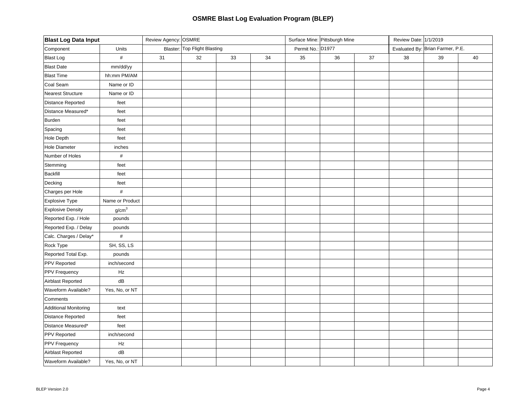| <b>Blast Log Data Input</b>  |                   | Review Agency: OSMRE |                              |    |    |                   | Surface Mine: Pittsburgh Mine |    | Review Date: 1/1/2019 |                                  |    |
|------------------------------|-------------------|----------------------|------------------------------|----|----|-------------------|-------------------------------|----|-----------------------|----------------------------------|----|
| Component                    | Units             |                      | Blaster: Top Flight Blasting |    |    | Permit No.: D1977 |                               |    |                       | Evaluated By: Brian Farmer, P.E. |    |
| <b>Blast Log</b>             | $\#$              | 31                   | 32                           | 33 | 34 | 35                | 36                            | 37 | 38                    | 39                               | 40 |
| <b>Blast Date</b>            | mm/dd/yy          |                      |                              |    |    |                   |                               |    |                       |                                  |    |
| <b>Blast Time</b>            | hh:mm PM/AM       |                      |                              |    |    |                   |                               |    |                       |                                  |    |
| Coal Seam                    | Name or ID        |                      |                              |    |    |                   |                               |    |                       |                                  |    |
| <b>Nearest Structure</b>     | Name or ID        |                      |                              |    |    |                   |                               |    |                       |                                  |    |
| Distance Reported            | feet              |                      |                              |    |    |                   |                               |    |                       |                                  |    |
| Distance Measured*           | feet              |                      |                              |    |    |                   |                               |    |                       |                                  |    |
| <b>Burden</b>                | feet              |                      |                              |    |    |                   |                               |    |                       |                                  |    |
| Spacing                      | feet              |                      |                              |    |    |                   |                               |    |                       |                                  |    |
| <b>Hole Depth</b>            | feet              |                      |                              |    |    |                   |                               |    |                       |                                  |    |
| Hole Diameter                | inches            |                      |                              |    |    |                   |                               |    |                       |                                  |    |
| Number of Holes              | $\#$              |                      |                              |    |    |                   |                               |    |                       |                                  |    |
| Stemming                     | feet              |                      |                              |    |    |                   |                               |    |                       |                                  |    |
| <b>Backfill</b>              | feet              |                      |                              |    |    |                   |                               |    |                       |                                  |    |
| Decking                      | feet              |                      |                              |    |    |                   |                               |    |                       |                                  |    |
| Charges per Hole             | $\#$              |                      |                              |    |    |                   |                               |    |                       |                                  |    |
| Explosive Type               | Name or Product   |                      |                              |    |    |                   |                               |    |                       |                                  |    |
| <b>Explosive Density</b>     | g/cm <sup>3</sup> |                      |                              |    |    |                   |                               |    |                       |                                  |    |
| Reported Exp. / Hole         | pounds            |                      |                              |    |    |                   |                               |    |                       |                                  |    |
| Reported Exp. / Delay        | pounds            |                      |                              |    |    |                   |                               |    |                       |                                  |    |
| Calc. Charges / Delay*       | $\#$              |                      |                              |    |    |                   |                               |    |                       |                                  |    |
| Rock Type                    | SH, SS, LS        |                      |                              |    |    |                   |                               |    |                       |                                  |    |
| Reported Total Exp.          | pounds            |                      |                              |    |    |                   |                               |    |                       |                                  |    |
| PPV Reported                 | inch/second       |                      |                              |    |    |                   |                               |    |                       |                                  |    |
| PPV Frequency                | Hz                |                      |                              |    |    |                   |                               |    |                       |                                  |    |
| Airblast Reported            | dB                |                      |                              |    |    |                   |                               |    |                       |                                  |    |
| Waveform Available?          | Yes, No, or NT    |                      |                              |    |    |                   |                               |    |                       |                                  |    |
| Comments                     |                   |                      |                              |    |    |                   |                               |    |                       |                                  |    |
| <b>Additional Monitoring</b> | text              |                      |                              |    |    |                   |                               |    |                       |                                  |    |
| Distance Reported            | feet              |                      |                              |    |    |                   |                               |    |                       |                                  |    |
| Distance Measured*           | feet              |                      |                              |    |    |                   |                               |    |                       |                                  |    |
| <b>PPV Reported</b>          | inch/second       |                      |                              |    |    |                   |                               |    |                       |                                  |    |
| PPV Frequency                | Hz                |                      |                              |    |    |                   |                               |    |                       |                                  |    |
| Airblast Reported            | dB                |                      |                              |    |    |                   |                               |    |                       |                                  |    |
| Waveform Available?          | Yes, No, or NT    |                      |                              |    |    |                   |                               |    |                       |                                  |    |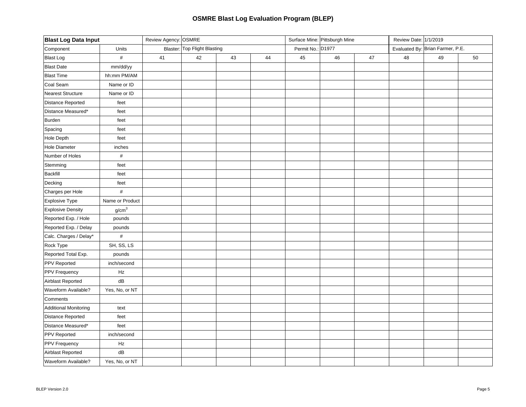| <b>Blast Log Data Input</b>  |                   | Review Agency: OSMRE |                              |    |    |                   | Surface Mine: Pittsburgh Mine |    | Review Date: 1/1/2019 |                                  |    |
|------------------------------|-------------------|----------------------|------------------------------|----|----|-------------------|-------------------------------|----|-----------------------|----------------------------------|----|
| Component                    | Units             |                      | Blaster: Top Flight Blasting |    |    | Permit No.: D1977 |                               |    |                       | Evaluated By: Brian Farmer, P.E. |    |
| <b>Blast Log</b>             | $\#$              | 41                   | 42                           | 43 | 44 | 45                | 46                            | 47 | 48                    | 49                               | 50 |
| <b>Blast Date</b>            | mm/dd/yy          |                      |                              |    |    |                   |                               |    |                       |                                  |    |
| <b>Blast Time</b>            | hh:mm PM/AM       |                      |                              |    |    |                   |                               |    |                       |                                  |    |
| Coal Seam                    | Name or ID        |                      |                              |    |    |                   |                               |    |                       |                                  |    |
| <b>Nearest Structure</b>     | Name or ID        |                      |                              |    |    |                   |                               |    |                       |                                  |    |
| Distance Reported            | feet              |                      |                              |    |    |                   |                               |    |                       |                                  |    |
| Distance Measured*           | feet              |                      |                              |    |    |                   |                               |    |                       |                                  |    |
| Burden                       | feet              |                      |                              |    |    |                   |                               |    |                       |                                  |    |
| Spacing                      | feet              |                      |                              |    |    |                   |                               |    |                       |                                  |    |
| Hole Depth                   | feet              |                      |                              |    |    |                   |                               |    |                       |                                  |    |
| <b>Hole Diameter</b>         | inches            |                      |                              |    |    |                   |                               |    |                       |                                  |    |
| Number of Holes              | $\#$              |                      |                              |    |    |                   |                               |    |                       |                                  |    |
| Stemming                     | feet              |                      |                              |    |    |                   |                               |    |                       |                                  |    |
| <b>Backfill</b>              | feet              |                      |                              |    |    |                   |                               |    |                       |                                  |    |
| Decking                      | feet              |                      |                              |    |    |                   |                               |    |                       |                                  |    |
| Charges per Hole             | $\#$              |                      |                              |    |    |                   |                               |    |                       |                                  |    |
| Explosive Type               | Name or Product   |                      |                              |    |    |                   |                               |    |                       |                                  |    |
| <b>Explosive Density</b>     | g/cm <sup>3</sup> |                      |                              |    |    |                   |                               |    |                       |                                  |    |
| Reported Exp. / Hole         | pounds            |                      |                              |    |    |                   |                               |    |                       |                                  |    |
| Reported Exp. / Delay        | pounds            |                      |                              |    |    |                   |                               |    |                       |                                  |    |
| Calc. Charges / Delay*       | $\#$              |                      |                              |    |    |                   |                               |    |                       |                                  |    |
| Rock Type                    | SH, SS, LS        |                      |                              |    |    |                   |                               |    |                       |                                  |    |
| Reported Total Exp.          | pounds            |                      |                              |    |    |                   |                               |    |                       |                                  |    |
| PPV Reported                 | inch/second       |                      |                              |    |    |                   |                               |    |                       |                                  |    |
| PPV Frequency                | Hz                |                      |                              |    |    |                   |                               |    |                       |                                  |    |
| Airblast Reported            | dB                |                      |                              |    |    |                   |                               |    |                       |                                  |    |
| Waveform Available?          | Yes, No, or NT    |                      |                              |    |    |                   |                               |    |                       |                                  |    |
| Comments                     |                   |                      |                              |    |    |                   |                               |    |                       |                                  |    |
| <b>Additional Monitoring</b> | text              |                      |                              |    |    |                   |                               |    |                       |                                  |    |
| Distance Reported            | feet              |                      |                              |    |    |                   |                               |    |                       |                                  |    |
| Distance Measured*           | feet              |                      |                              |    |    |                   |                               |    |                       |                                  |    |
| PPV Reported                 | inch/second       |                      |                              |    |    |                   |                               |    |                       |                                  |    |
| PPV Frequency                | Hz                |                      |                              |    |    |                   |                               |    |                       |                                  |    |
| Airblast Reported            | dB                |                      |                              |    |    |                   |                               |    |                       |                                  |    |
| Waveform Available?          | Yes, No, or NT    |                      |                              |    |    |                   |                               |    |                       |                                  |    |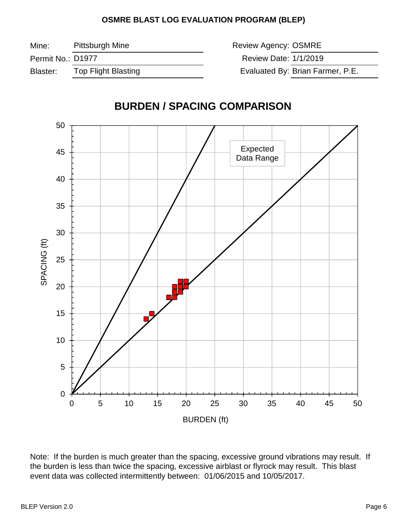Mine: Pittsburgh Mine

Permit No.: D1977

Blaster: Top Flight Blasting Review Agency: OSMRE Review Date: 1/1/2019

Evaluated By: Brian Farmer, P.E.



Note: If the burden is much greater than the spacing, excessive ground vibrations may result. If the burden is less than twice the spacing, excessive airblast or flyrock may result. This blast event data was collected intermittently between: 01/06/2015 and 10/05/2017.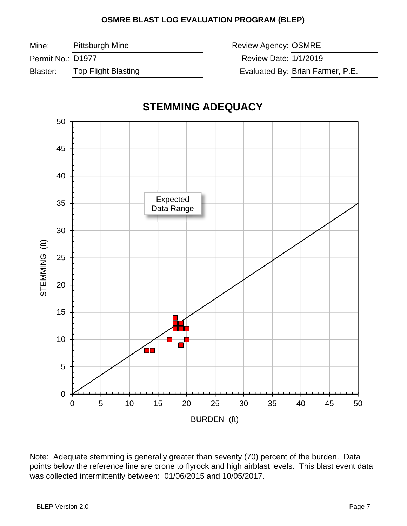Mine:

Pittsburgh Mine **Review Agency: OSMRE** 

Permit No.: D1977

Blaster: Top Flight Blasting

Review Date: 1/1/2019

Evaluated By: Brian Farmer, P.E.



# **STEMMING ADEQUACY**

Note: Adequate stemming is generally greater than seventy (70) percent of the burden. Data points below the reference line are prone to flyrock and high airblast levels. This blast event data was collected intermittently between: 01/06/2015 and 10/05/2017.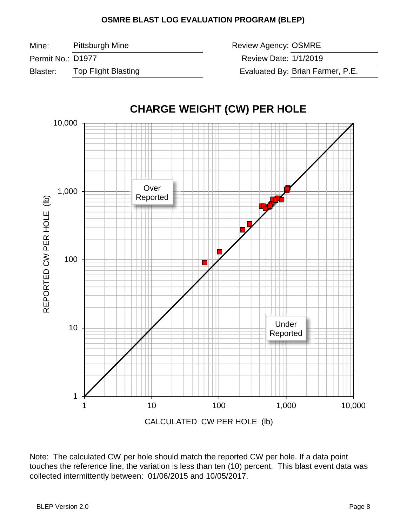Mine:

Permit No.: D1977

Blaster: Top Flight Blasting

Evaluated By: Brian Farmer, P.E. Pittsburgh Mine **Review Agency: OSMRE** Review Date: 1/1/2019



Note: The calculated CW per hole should match the reported CW per hole. If a data point touches the reference line, the variation is less than ten (10) percent. This blast event data was collected intermittently between: 01/06/2015 and 10/05/2017.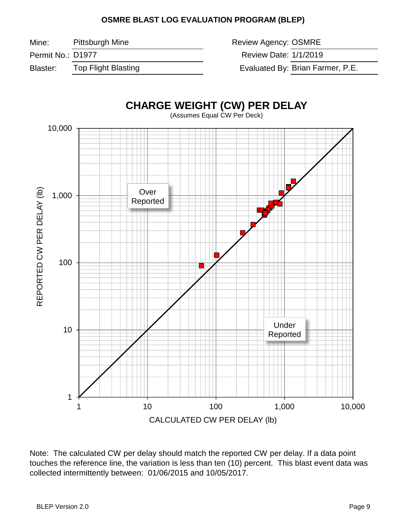Mine:

Pittsburgh Mine **Review Agency: OSMRE** 

Permit No.: D1977

Blaster: Top Flight Blasting

Review Date: 1/1/2019

Evaluated By: Brian Farmer, P.E.



Note: The calculated CW per delay should match the reported CW per delay. If a data point touches the reference line, the variation is less than ten (10) percent. This blast event data was collected intermittently between: 01/06/2015 and 10/05/2017.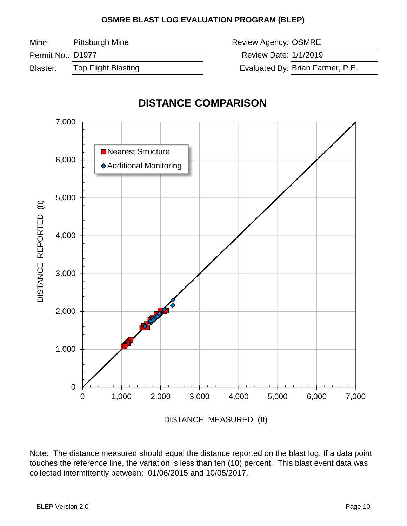Mine: Pittsburgh Mine Review Agency: OSMRE

Permit No.: D1977

Blaster: Top Flight Blasting The Controller Studies Evaluated By:

Review Date: 1/1/2019

Evaluated By: Brian Farmer, P.E.

# **DISTANCE COMPARISON**



Note: The distance measured should equal the distance reported on the blast log. If a data point touches the reference line, the variation is less than ten (10) percent. This blast event data was collected intermittently between: 01/06/2015 and 10/05/2017.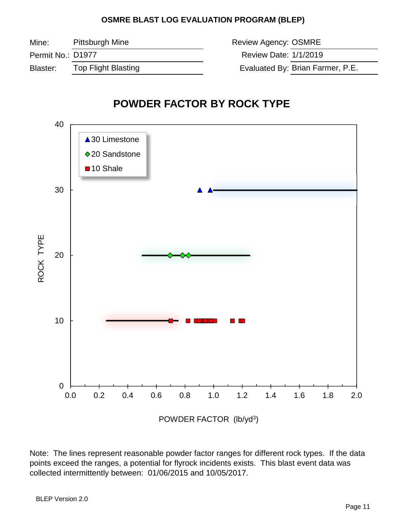Mine:

Permit No.: D1977

Blaster: Top Flight Blasting

Evaluated By: Brian Farmer, P.E. Pittsburgh Mine **Review Agency: OSMRE** Review Date: 1/1/2019

# **POWDER FACTOR BY ROCK TYPE**



Note: The lines represent reasonable powder factor ranges for different rock types. If the data points exceed the ranges, a potential for flyrock incidents exists. This blast event data was collected intermittently between: 01/06/2015 and 10/05/2017.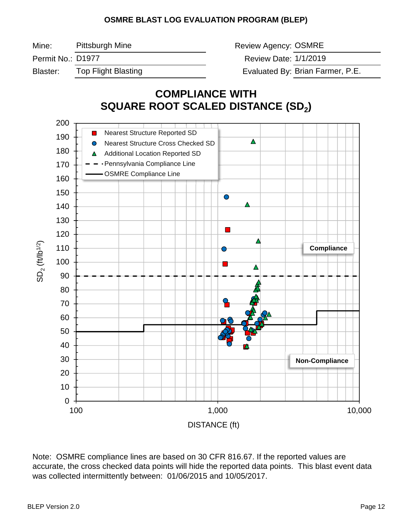Mine: Pittsburgh Mine **Mine State State Control** Review Agency: OSMRE Permit No.: D1977 **No.: 2018** 2018 12: Review Date: Blaster: Top Flight Blasting The Controller Studies Evaluated By: Pittsburgh Mine Review Date: 1/1/2019 Evaluated By: Brian Farmer, P.E.

# **COMPLIANCE WITH SQUARE ROOT SCALED DISTANCE (SD2)**



Note: OSMRE compliance lines are based on 30 CFR 816.67. If the reported values are accurate, the cross checked data points will hide the reported data points. This blast event data was collected intermittently between: 01/06/2015 and 10/05/2017.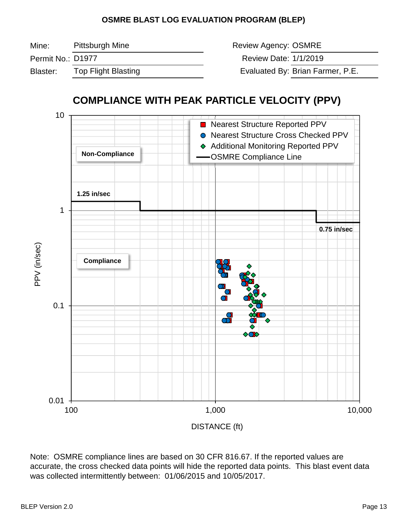| Mine:             | Pittsburgh Mine     | Review Agency: OSMRE  |                                  |
|-------------------|---------------------|-----------------------|----------------------------------|
| Permit No.: D1977 |                     | Review Date: 1/1/2019 |                                  |
| Blaster:          | Top Flight Blasting |                       | Evaluated By: Brian Farmer, P.E. |



Note: OSMRE compliance lines are based on 30 CFR 816.67. If the reported values are accurate, the cross checked data points will hide the reported data points. This blast event data was collected intermittently between: 01/06/2015 and 10/05/2017.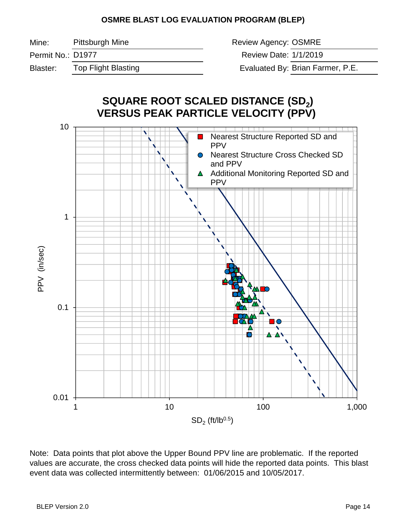Mine:

Pittsburgh Mine **Review Agency: OSMRE** 

Permit No.: D1977

Blaster: Top Flight Blasting The Controller Studies Evaluated By:

Review Date: 1/1/2019

Evaluated By: Brian Farmer, P.E.



Note: Data points that plot above the Upper Bound PPV line are problematic. If the reported values are accurate, the cross checked data points will hide the reported data points. This blast event data was collected intermittently between: 01/06/2015 and 10/05/2017.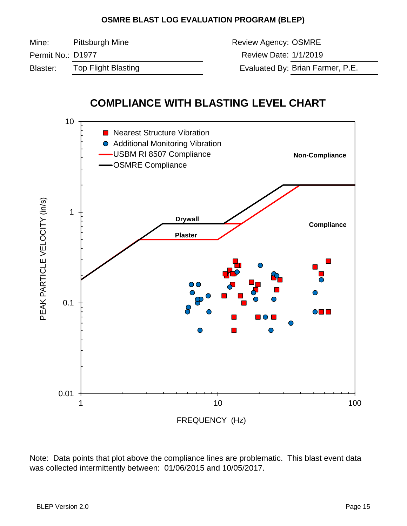Mine: Permit No.: D1977 Blaster: Top Flight Blasting The Controller Studies Evaluated By: Evaluated By: Brian Farmer, P.E. Pittsburgh Mine **Review Agency: OSMRE** Review Date: 1/1/2019

# **COMPLIANCE WITH BLASTING LEVEL CHART**



Note: Data points that plot above the compliance lines are problematic. This blast event data was collected intermittently between: 01/06/2015 and 10/05/2017.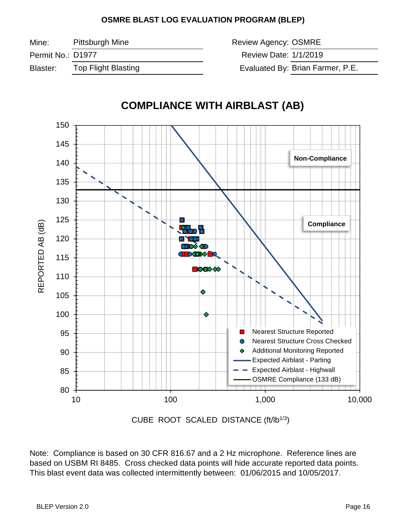Mine:

Pittsburgh Mine **Review Agency: OSMRE** 

Permit No.: D1977

Blaster: Top Flight Blasting

Review Date: 1/1/2019

Evaluated By: Brian Farmer, P.E.



CUBE ROOT SCALED DISTANCE (ft/lb<sup>1/3</sup>)

Note: Compliance is based on 30 CFR 816.67 and a 2 Hz microphone. Reference lines are based on USBM RI 8485. Cross checked data points will hide accurate reported data points. This blast event data was collected intermittently between: 01/06/2015 and 10/05/2017.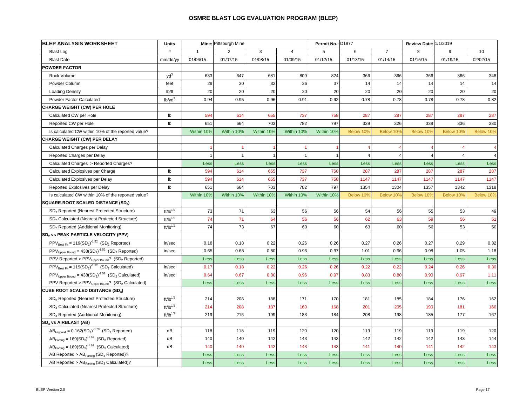| <b>BLEP ANALYSIS WORKSHEET</b>                                           | <b>Units</b>                |              | Mine: Pittsburgh Mine |                |                | Permit No.: D1977 |           |                | Review Date: 1/1/2019 |           |           |
|--------------------------------------------------------------------------|-----------------------------|--------------|-----------------------|----------------|----------------|-------------------|-----------|----------------|-----------------------|-----------|-----------|
| Blast Log                                                                | #                           | $\mathbf{1}$ | $\overline{2}$        | 3              | $\overline{4}$ | 5                 | 6         | $\overline{7}$ | 8                     | 9         | 10        |
| <b>Blast Date</b>                                                        | mm/dd/yy                    | 01/06/15     | 01/07/15              | 01/08/15       | 01/09/15       | 01/12/15          | 01/13/15  | 01/14/15       | 01/15/15              | 01/19/15  | 02/02/15  |
| <b>POWDER FACTOR</b>                                                     |                             |              |                       |                |                |                   |           |                |                       |           |           |
| Rock Volume                                                              | yd <sup>3</sup>             | 633          | 647                   | 681            | 809            | 824               | 366       | 366            | 366                   | 366       | 348       |
| Powder Column                                                            | feet                        | 29           | 30                    | 32             | 36             | 37                | 14        | 14             | 14                    | 14        | 14        |
| <b>Loading Density</b>                                                   | lb/ft                       | 20           | 20                    | 20             | 20             | 20                | 20        | 20             | 20                    | 20        | 20        |
| Powder Factor Calculated                                                 | $lb$ /yd <sup>3</sup>       | 0.94         | 0.95                  | 0.96           | 0.91           | 0.92              | 0.78      | 0.78           | 0.78                  | 0.78      | 0.82      |
| <b>CHARGE WEIGHT (CW) PER HOLE</b>                                       |                             |              |                       |                |                |                   |           |                |                       |           |           |
| Calculated CW per Hole                                                   | lb                          | 594          | 614                   | 655            | 737            | 758               | 287       | 287            | 287                   | 287       | 287       |
| Reported CW per Hole                                                     | Ib                          | 651          | 664                   | 703            | 782            | 797               | 339       | 326            | 339                   | 336       | 330       |
| Is calculated CW within 10% of the reported value?                       |                             | Within 10%   | Within 10%            | Within 10%     | Within 10%     | Within 10%        | Below 10% | Below 10%      | Below 10%             | Below 10% | Below 10% |
| <b>CHARGE WEIGHT (CW) PER DELAY</b>                                      |                             |              |                       |                |                |                   |           |                |                       |           |           |
| Calculated Charges per Delay                                             |                             |              |                       |                |                |                   |           |                |                       |           |           |
| Reported Charges per Delay                                               |                             |              | $\mathbf{1}$          | $\overline{1}$ | $\overline{1}$ |                   | 4         | $\overline{4}$ |                       |           |           |
| Calculated Charges > Reported Charges?                                   |                             | Less         | <b>Less</b>           | <b>Less</b>    | Less           | Less              | Less      | Less           | Less                  | Less      | Less      |
| Calculated Explosives per Charge                                         | lb                          | 594          | 614                   | 655            | 737            | 758               | 287       | 287            | 287                   | 287       | 287       |
| Calculated Explosives per Delay                                          | lb                          | 594          | 614                   | 655            | 737            | 758               | 1147      | 1147           | 1147                  | 1147      | 1147      |
| Reported Explosives per Delay                                            | $\mathsf{lb}$               | 651          | 664                   | 703            | 782            | 797               | 1354      | 1304           | 1357                  | 1342      | 1318      |
| Is calculated CW within 10% of the reported value?                       |                             | Within 10%   | Within 10%            | Within 10%     | Within 10%     | Within 10%        | Below 10% | Below 10%      | Below 10%             | Below 10% | Below 10% |
| SQUARE-ROOT SCALED DISTANCE (SD2)                                        |                             |              |                       |                |                |                   |           |                |                       |           |           |
| SD <sub>2</sub> Reported (Nearest Protected Structure)                   | $\mathsf{ft/lb}^{1/2}$      | 73           | 71                    | 63             | 56             | 56                | 54        | 56             | 55                    | 53        | 49        |
| SD <sub>2</sub> Calculated (Nearest Protected Structure)                 | $\text{ft/lb}^{1/2}$        | 74           | 71                    | 64             | 56             | 56                | 62        | 63             | 59                    | 56        | 51        |
| SD <sub>2</sub> Reported (Additional Monitoring)                         | $ft/lb^{1/2}$               | 74           | 73                    | 67             | 60             | 60                | 63        | 60             | 56                    | 53        | 50        |
| SD <sub>2</sub> vs PEAK PARTICLE VELOCITY (PPV)                          |                             |              |                       |                |                |                   |           |                |                       |           |           |
| $PPV_{\text{Best Fit}} = 119(SD_2)^{-1.52}$ (SD <sub>2</sub> Reported)   | in/sec                      | 0.18         | 0.18                  | 0.22           | 0.26           | 0.26              | 0.27      | 0.26           | 0.27                  | 0.29      | 0.32      |
| $PPV_{Upper Bound} = 438(SD2)-1.52 (SD2 Reported)$                       | in/sec                      | 0.65         | 0.68                  | 0.80           | 0.96           | 0.97              | 1.01      | 0.96           | 0.98                  | 1.05      | 1.18      |
| PPV Reported > $PPV_{Upper Bound}$ ? (SD <sub>2</sub> Reported)          |                             | Less         | Less                  | Less           | Less           | Less              | Less      | Less           | Less                  | Less      | Less      |
| $PPV_{\text{Best Fit}} = 119(SD_2)^{-1.52}$ (SD <sub>2</sub> Calculated) | in/sec                      | 0.17         | 0.18                  | 0.22           | 0.26           | 0.26              | 0.22      | 0.22           | 0.24                  | 0.26      | 0.30      |
| $PPV_{Upper Bound} = 438(SD2)-1.52 (SD2 Calculated)$                     | in/sec                      | 0.64         | 0.67                  | 0.80           | 0.96           | 0.97              | 0.83      | 0.80           | 0.90                  | 0.97      | 1.11      |
| PPV Reported > $PPV_{Upper Bound}$ ? (SD <sub>2</sub> Calculated)        |                             | Less         | <b>Less</b>           | <b>Less</b>    | Less           | Less              | Less      | Less           | Less                  | Less      | Less      |
| <b>CUBE ROOT SCALED DISTANCE (SD3)</b>                                   |                             |              |                       |                |                |                   |           |                |                       |           |           |
| SD <sub>3</sub> Reported (Nearest Protected Structure)                   | $ft/lb^{1/3}$               | 214          | 208                   | 188            | 171            | 170               | 181       | 185            | 184                   | 176       | 162       |
| SD <sub>3</sub> Calculated (Nearest Protected Structure)                 | $\textsf{ft/lb}^\text{1/3}$ | 214          | 208                   | 187            | 169            | 168               | 201       | 205            | 190                   | 181       | 166       |
| SD <sub>3</sub> Reported (Additional Monitoring)                         | $ft/lb^{1/3}$               | 219          | 215                   | 199            | 183            | 184               | 208       | 198            | 185                   | 177       | 167       |
| SD <sub>3</sub> vs AIRBLAST (AB)                                         |                             |              |                       |                |                |                   |           |                |                       |           |           |
| $AB_{\text{Hichwall}} = 0.162(SD_3)^{-0.79}$ (SD <sub>3</sub> Reported)  | dB                          | 118          | 118                   | 119            | 120            | 120               | 119       | 119            | 119                   | 119       | 120       |
| $ABParting = 169(SD3)-1.62 (SD3 Reported)$                               | dB                          | 140          | 140                   | 142            | 143            | 143               | 142       | 142            | 142                   | 143       | 144       |
| $AB_{\text{Parting}} = 169(SD_3)^{-1.62}$ (SD <sub>3</sub> Calculated)   | dB                          | 140          | 140                   | 142            | 143            | 143               | 141       | 140            | 141                   | 142       | 143       |
| AB Reported > $AB_{Parting}$ (SD <sub>3</sub> Reported)?                 |                             | Less         | Less                  | Less           | Less           | Less              | Less      | Less           | Less                  | Less      | Less      |
| AB Reported > $AB_{\text{Parting}}$ (SD <sub>3</sub> Calculated)?        |                             | Less         | Less                  | Less           | Less           | Less              | Less      | Less           | Less                  | Less      | Less      |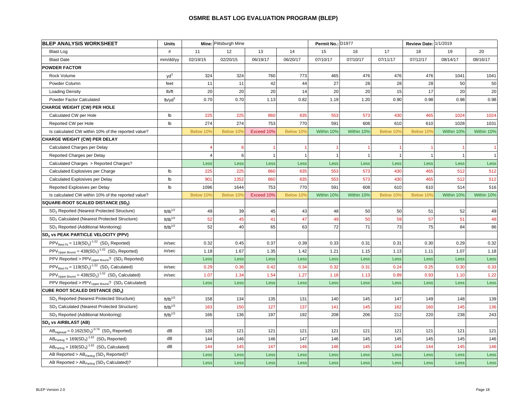| <b>BLEP ANALYSIS WORKSHEET</b>                                                                    | <b>Units</b>       |           | Mine: Pittsburgh Mine |            |           | Permit No.: D1977 |            |                | Review Date: 1/1/2019 |              |             |  |
|---------------------------------------------------------------------------------------------------|--------------------|-----------|-----------------------|------------|-----------|-------------------|------------|----------------|-----------------------|--------------|-------------|--|
| <b>Blast Log</b>                                                                                  | $\#$               | 11        | 12                    | 13         | 14        | 15                | 16         | 17             | 18                    | 19           | 20          |  |
| <b>Blast Date</b>                                                                                 | mm/dd/yy           | 02/19/15  | 02/20/15              | 06/19/17   | 06/20/17  | 07/10/17          | 07/10/17   | 07/11/17       | 07/12/17              | 08/14/17     | 08/16/17    |  |
| <b>POWDER FACTOR</b>                                                                              |                    |           |                       |            |           |                   |            |                |                       |              |             |  |
| Rock Volume                                                                                       | yd <sup>3</sup>    | 324       | 324                   | 760        | 773       | 465               | 476        | 476            | 476                   | 1041         | 1041        |  |
| Powder Column                                                                                     | feet               | 11        | 11                    | 42         | 44        | 27                | 28         | 28             | 28                    | 50           | 50          |  |
| <b>Loading Density</b>                                                                            | lb/ft              | 20        | 20                    | 20         | 14        | 20                | 20         | 15             | 17                    | 20           | 20          |  |
| Powder Factor Calculated                                                                          | lb/vd <sup>3</sup> | 0.70      | 0.70                  | 1.13       | 0.82      | 1.19              | 1.20       | 0.90           | 0.98                  | 0.98         | 0.98        |  |
| <b>CHARGE WEIGHT (CW) PER HOLE</b>                                                                |                    |           |                       |            |           |                   |            |                |                       |              |             |  |
| Calculated CW per Hole                                                                            | lb                 | 225       | 225                   | 860        | 635       | 553               | 573        | 430            | 465                   | 1024         | 1024        |  |
| Reported CW per Hole                                                                              | $\mathsf{lb}$      | 274       | 274                   | 753        | 770       | 591               | 608        | 610            | 610                   | 1028         | 1031        |  |
| Is calculated CW within 10% of the reported value?                                                |                    | Below 10% | Below 10%             | Exceed 10% | Below 10% | Within 10%        | Within 10% | Below 10%      | Below 10%             | Within 10%   | Within 10%  |  |
| <b>CHARGE WEIGHT (CW) PER DELAY</b>                                                               |                    |           |                       |            |           |                   |            |                |                       |              |             |  |
| Calculated Charges per Delay                                                                      |                    |           | 6                     |            |           |                   |            |                |                       |              |             |  |
| Reported Charges per Delay                                                                        |                    |           | $6 \overline{6}$      |            | -1        | $\overline{1}$    | -1         | $\overline{1}$ |                       | $\mathbf{1}$ |             |  |
| Calculated Charges > Reported Charges?                                                            |                    | Less      | Less                  | Less       | Less      | Less              | Less       | Less           | Less                  | <b>Less</b>  | <b>Less</b> |  |
| Calculated Explosives per Charge                                                                  | Ib                 | 225       | 225                   | 860        | 635       | 553               | 573        | 430            | 465                   | 512          | 512         |  |
| Calculated Explosives per Delay                                                                   | Ib                 | 901       | 1352                  | 860        | 635       | 553               | 573        | 430            | 465                   | 512          | 512         |  |
| Reported Explosives per Delay                                                                     | lb                 | 1096      | 1644                  | 753        | 770       | 591               | 608        | 610            | 610                   | 514          | 516         |  |
| Is calculated CW within 10% of the reported value?                                                |                    | Below 10% | Below 10%             | Exceed 10% | Below 10% | Within 10%        | Within 10% | Below 10%      | Below 10%             | Within 10%   | Within 10%  |  |
| <b>SQUARE-ROOT SCALED DISTANCE (SD2)</b>                                                          |                    |           |                       |            |           |                   |            |                |                       |              |             |  |
| SD <sub>2</sub> Reported (Nearest Protected Structure)                                            | $ft/lb^{1/2}$      | 49        | 39                    | 45         | 43        | 48                | 50         | 50             | 51                    | 52           | 49          |  |
| SD <sub>2</sub> Calculated (Nearest Protected Structure)                                          | $ft/lb^{1/2}$      | 52        | 45                    | 41         | 47        | 49                | 50         | 59             | 57                    | 51           | 48          |  |
| SD <sub>2</sub> Reported (Additional Monitoring)                                                  | $ft/lb^{1/2}$      | 52        | 40                    | 65         | 63        | 72                | 71         | 73             | 75                    | 84           | 86          |  |
| SD <sub>2</sub> vs PEAK PARTICLE VELOCITY (PPV)                                                   |                    |           |                       |            |           |                   |            |                |                       |              |             |  |
| $PPV_{\text{Best Fit}} = 119(SD_2)^{-1.52}$ (SD <sub>2</sub> Reported)                            | in/sec             | 0.32      | 0.45                  | 0.37       | 0.39      | 0.33              | 0.31       | 0.31           | 0.30                  | 0.29         | 0.32        |  |
| $PPV_{Upper Bound} = 438(SD2)-1.52 (SD2 Reported)$                                                | in/sec             | 1.18      | 1.67                  | 1.35       | 1.42      | 1.21              | 1.15       | 1.13           | 1.11                  | 1.07         | 1.18        |  |
| $\overline{\text{PPV}}$ Reported > $\text{PPV}_{\text{Upper Bound}}$ ? (SD <sub>2</sub> Reported) |                    | Less      | Less                  | Less       | Less      | Less              | Less       | Less           | Less                  | Less         | Less        |  |
| $PPV_{\text{Best Fit}} = 119(SD_2)^{-1.52}$ (SD <sub>2</sub> Calculated)                          | in/sec             | 0.29      | 0.36                  | 0.42       | 0.34      | 0.32              | 0.31       | 0.24           | 0.25                  | 0.30         | 0.33        |  |
| $PPV_{Upper Bound} = 438(SD2)-1.52 (SD2 Calculated)$                                              | in/sec             | 1.07      | 1.34                  | 1.54       | 1.27      | 1.18              | 1.13       | 0.89           | 0.93                  | 1.10         | 1.22        |  |
| PPV Reported > PPV <sub>Upper Bound</sub> ? (SD <sub>2</sub> Calculated)                          |                    | Less      | Less                  | Less       | Less      | Less              | Less       | Less           | Less                  | Less         | Less        |  |
| <b>CUBE ROOT SCALED DISTANCE (SD3)</b>                                                            |                    |           |                       |            |           |                   |            |                |                       |              |             |  |
| SD <sub>3</sub> Reported (Nearest Protected Structure)                                            | $ft/lb^{1/3}$      | 158       | 134                   | 135        | 131       | 140               | 145        | 147            | 149                   | 148          | 139         |  |
| SD <sub>3</sub> Calculated (Nearest Protected Structure)                                          | $ft/lb^{1/3}$      | 163       | 150                   | 127        | 137       | 141               | 145        | 162            | 160                   | 145          | 136         |  |
| SD <sub>3</sub> Reported (Additional Monitoring)                                                  | $ft/lb^{1/3}$      | 166       | 136                   | 197        | 192       | 208               | 206        | 212            | 220                   | 238          | 243         |  |
| SD <sub>3</sub> vs AIRBLAST (AB)                                                                  |                    |           |                       |            |           |                   |            |                |                       |              |             |  |
| $\text{AB}_{\text{Highwall}} = 0.162(\text{SD}_3)^{-0.79} \text{ (SD}_3 \text{ Reported)}$        | dB                 | 120       | 121                   | 121        | 121       | 121               | 121        | 121            | 121                   | 121          | 121         |  |
| $ABPating = 169(SD3)-1.62 (SD3 Reported)$                                                         | dB                 | 144       | 146                   | 146        | 147       | 146               | 145        | 145            | 145                   | 145          | 146         |  |
| $AB_{\text{Parting}} = 169(SD_3)^{-1.62}$ (SD <sub>3</sub> Calculated)                            | dB                 | 144       | 145                   | 147        | 146       | 146               | 145        | 144            | 144                   | 145          | 146         |  |
| AB Reported > $AB_{\text{Parting}}$ (SD <sub>3</sub> Reported)?                                   |                    | Less      | Less                  | Less       | Less      | Less              | Less       | Less           | Less                  | Less         | Less        |  |
| AB Reported > AB <sub>Parting</sub> (SD <sub>3</sub> Calculated)?                                 |                    | Less      | Less                  | Less       | Less      | Less              | Less       | Less           | Less                  | <b>Less</b>  | Less        |  |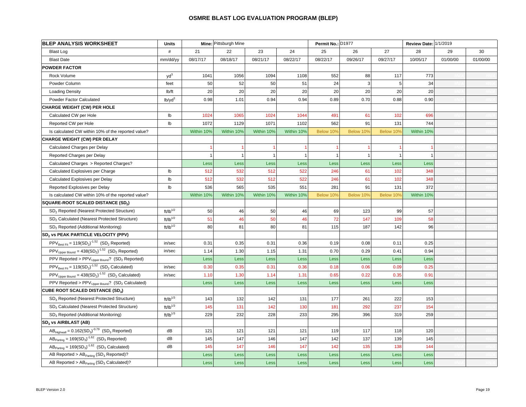| <b>BLEP ANALYSIS WORKSHEET</b>                                                                           | <b>Units</b>         |            | Mine: Pittsburgh Mine |            |                | Permit No.: D1977    |           |                | Review Date: 1/1/2019 |          |          |
|----------------------------------------------------------------------------------------------------------|----------------------|------------|-----------------------|------------|----------------|----------------------|-----------|----------------|-----------------------|----------|----------|
| <b>Blast Log</b>                                                                                         | $\#$                 | 21         | 22                    | 23         | 24             | 25                   | 26        | 27             | 28                    | 29       | 30       |
| <b>Blast Date</b>                                                                                        | mm/dd/yy             | 08/17/17   | 08/18/17              | 08/21/17   | 08/22/17       | 08/22/17             | 09/26/17  | 09/27/17       | 10/05/17              | 01/00/00 | 01/00/00 |
| <b>POWDER FACTOR</b>                                                                                     |                      |            |                       |            |                |                      |           |                |                       |          |          |
| Rock Volume                                                                                              | $yd^3$               | 1041       | 1056                  | 1094       | 1108           | 552                  | 88        | 117            | 773                   |          |          |
| Powder Column                                                                                            | feet                 | 50         | 52                    | 50         | 51             | 24                   | 3         | 5              | 34                    |          |          |
| <b>Loading Density</b>                                                                                   | lb/ft                | 20         | 20                    | 20         | 20             | 20                   | 20        | 20             | 20                    |          |          |
| Powder Factor Calculated                                                                                 | lb/vd <sup>3</sup>   | 0.98       | 1.01                  | 0.94       | 0.94           | 0.89                 | 0.70      | 0.88           | 0.90                  |          |          |
| <b>CHARGE WEIGHT (CW) PER HOLE</b>                                                                       |                      |            |                       |            |                |                      |           |                |                       |          |          |
| Calculated CW per Hole                                                                                   | lb                   | 1024       | 1065                  | 1024       | 1044           | 491                  | 61        | 102            | 696                   |          |          |
| Reported CW per Hole                                                                                     | $\mathsf{lb}$        | 1072       | 1129                  | 1071       | 1102           | 562                  | 91        | 131            | 744                   |          |          |
| Is calculated CW within 10% of the reported value?                                                       |                      | Within 10% | Within 10%            | Within 10% | Within 10%     | Below 10%            | Below 10% | Below 10%      | Within 10%            |          |          |
| CHARGE WEIGHT (CW) PER DELAY                                                                             |                      |            |                       |            |                |                      |           |                |                       |          |          |
| Calculated Charges per Delay                                                                             |                      |            |                       |            |                | $\blacktriangleleft$ |           |                |                       |          |          |
| Reported Charges per Delay                                                                               |                      |            | $\mathbf{1}$          |            | $\overline{1}$ | $\mathbf{1}$         | -1        | $\overline{1}$ |                       |          |          |
| Calculated Charges > Reported Charges?                                                                   |                      | Less       | Less                  | Less       | Less           | Less                 | Less      | Less           | Less                  |          |          |
| Calculated Explosives per Charge                                                                         | Ib                   | 512        | 532                   | 512        | 522            | 246                  | 61        | 102            | 348                   |          |          |
| Calculated Explosives per Delay                                                                          | Ib                   | 512        | 532                   | 512        | 522            | 246                  | 61        | 102            | 348                   |          |          |
| Reported Explosives per Delay                                                                            | lb                   | 536        | 565                   | 535        | 551            | 281                  | 91        | 131            | 372                   |          |          |
| Is calculated CW within 10% of the reported value?                                                       |                      | Within 10% | Within 10%            | Within 10% | Within 10%     | Below 10%            | Below 10% | Below 10%      | Within 10%            |          |          |
| <b>SQUARE-ROOT SCALED DISTANCE (SD2)</b>                                                                 |                      |            |                       |            |                |                      |           |                |                       |          |          |
| SD <sub>2</sub> Reported (Nearest Protected Structure)                                                   | $\text{ft/lb}^{1/2}$ | 50         | 46                    | 50         | 46             | 69                   | 123       | 99             | 57                    |          |          |
| SD <sub>2</sub> Calculated (Nearest Protected Structure)                                                 | $ft/lb^{1/2}$        | 51         | 46                    | 50         | 46             | 72                   | 147       | 109            | 58                    |          |          |
| SD <sub>2</sub> Reported (Additional Monitoring)                                                         | $ft/lb^{1/2}$        | 80         | 81                    | 80         | 81             | 115                  | 187       | 142            | 96                    |          |          |
| SD <sub>2</sub> vs PEAK PARTICLE VELOCITY (PPV)                                                          |                      |            |                       |            |                |                      |           |                |                       |          |          |
| $PPV_{\text{Best Fit}} = 119(SD_2)^{-1.52}$ (SD <sub>2</sub> Reported)                                   | in/sec               | 0.31       | 0.35                  | 0.31       | 0.36           | 0.19                 | 0.08      | 0.11           | 0.25                  |          |          |
| $PPV_{Upper Bound} = 438(SD2)-1.52 (SD2 Reported)$                                                       | in/sec               | 1.14       | 1.30                  | 1.15       | 1.31           | 0.70                 | 0.29      | 0.41           | 0.94                  |          |          |
| $\overline{\text{PPV}}$ Reported > $\text{PPV}_{\text{Upper Bound}}$ ? (SD <sub>2</sub> Reported)        |                      | Less       | Less                  | Less       | Less           | Less                 | Less      | Less           | Less                  |          |          |
| $PPV_{\text{Best Fit}} = 119(SD_2)^{-1.52}$ (SD <sub>2</sub> Calculated)                                 | in/sec               | 0.30       | 0.35                  | 0.31       | 0.36           | 0.18                 | 0.06      | 0.09           | 0.25                  |          |          |
| $PPV_{Upper Bound} = 438(SD2)-1.52 (SD2 Calculated)$                                                     | in/sec               | 1.10       | 1.30                  | 1.14       | 1.31           | 0.65                 | 0.22      | 0.35           | 0.91                  |          |          |
| PPV Reported > PPV <sub>Upper Bound</sub> ? (SD <sub>2</sub> Calculated)                                 |                      | Less       | Less                  | Less       | Less           | Less                 | Less      | Less           | Less                  |          |          |
| <b>CUBE ROOT SCALED DISTANCE (SD3)</b>                                                                   |                      |            |                       |            |                |                      |           |                |                       |          |          |
| SD <sub>3</sub> Reported (Nearest Protected Structure)                                                   | $ft/lb^{1/3}$        | 143        | 132                   | 142        | 131            | 177                  | 261       | 222            | 153                   |          |          |
| SD <sub>3</sub> Calculated (Nearest Protected Structure)                                                 | $ft/lb^{1/3}$        | 145        | 131                   | 142        | 130            | 181                  | 292       | 237            | 154                   |          |          |
| SD <sub>3</sub> Reported (Additional Monitoring)                                                         | $ft/lb^{1/3}$        | 229        | 232                   | 228        | 233            | 295                  | 396       | 319            | 259                   |          |          |
| SD <sub>3</sub> vs AIRBLAST (AB)                                                                         |                      |            |                       |            |                |                      |           |                |                       |          |          |
| $\overline{\text{AB}_{\text{Highwall}}}=0.162(\text{SD}_3)^{\cdot 0.79} \text{ (SD}_3 \text{ Reported)}$ | dB                   | 121        | 121                   | 121        | 121            | 119                  | 117       | 118            | 120                   |          |          |
| $ABPating = 169(SD3)-1.62 (SD3 Reported)$                                                                | dB                   | 145        | 147                   | 146        | 147            | 142                  | 137       | 139            | 145                   |          |          |
| $AB_{\text{Parting}} = 169(SD_3)^{-1.62}$ (SD <sub>3</sub> Calculated)                                   | dB                   | 145        | 147                   | 146        | 147            | 142                  | 135       | 138            | 144                   |          |          |
| AB Reported > $AB_{\text{Parting}}$ (SD <sub>3</sub> Reported)?                                          |                      | Less       | Less                  | Less       | Less           | Less                 | Less      | Less           | Less                  |          |          |
| AB Reported > AB <sub>Parting</sub> (SD <sub>3</sub> Calculated)?                                        |                      | Less       | Less                  | Less       | Less           | Less                 | Less      | Less           | Less                  |          |          |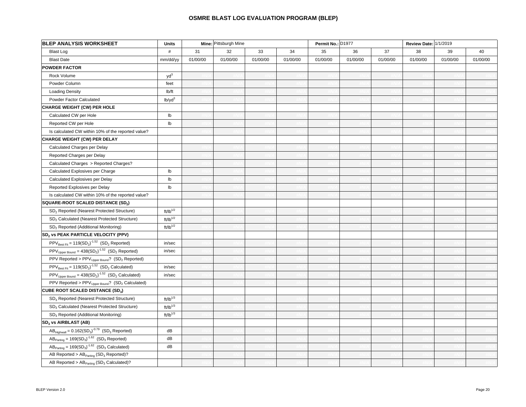| <b>BLEP ANALYSIS WORKSHEET</b>                                                                                         | <b>Units</b>                | Mine: Pittsburgh Mine |          |          |          | Permit No.: D1977 |          |          | Review Date: 1/1/2019 |          |          |
|------------------------------------------------------------------------------------------------------------------------|-----------------------------|-----------------------|----------|----------|----------|-------------------|----------|----------|-----------------------|----------|----------|
| <b>Blast Log</b>                                                                                                       | $\#$                        | 31                    | 32       | 33       | 34       | 35                | 36       | 37       | 38                    | 39       | 40       |
| <b>Blast Date</b>                                                                                                      | mm/dd/yy                    | 01/00/00              | 01/00/00 | 01/00/00 | 01/00/00 | 01/00/00          | 01/00/00 | 01/00/00 | 01/00/00              | 01/00/00 | 01/00/00 |
| <b>POWDER FACTOR</b>                                                                                                   |                             |                       |          |          |          |                   |          |          |                       |          |          |
| Rock Volume                                                                                                            | yd <sup>3</sup>             |                       |          |          |          |                   |          |          |                       |          |          |
| Powder Column                                                                                                          | feet                        |                       |          |          |          |                   |          |          |                       |          |          |
| <b>Loading Density</b>                                                                                                 | lb/ft                       |                       |          |          |          |                   |          |          |                       |          |          |
| Powder Factor Calculated                                                                                               | $lb$ /yd $3$                |                       |          |          |          |                   |          |          |                       |          |          |
| <b>CHARGE WEIGHT (CW) PER HOLE</b>                                                                                     |                             |                       |          |          |          |                   |          |          |                       |          |          |
| Calculated CW per Hole                                                                                                 | lb                          |                       |          |          |          |                   |          |          |                       |          |          |
| Reported CW per Hole                                                                                                   | $\mathsf{lb}$               |                       |          |          |          |                   |          |          |                       |          |          |
| Is calculated CW within 10% of the reported value?                                                                     |                             |                       |          |          |          |                   |          |          |                       |          |          |
| <b>CHARGE WEIGHT (CW) PER DELAY</b>                                                                                    |                             |                       |          |          |          |                   |          |          |                       |          |          |
| Calculated Charges per Delay                                                                                           |                             |                       |          |          |          |                   |          |          |                       |          |          |
| Reported Charges per Delay                                                                                             |                             |                       |          |          |          |                   |          |          |                       |          |          |
| Calculated Charges > Reported Charges?                                                                                 |                             |                       |          |          |          |                   |          |          |                       |          |          |
| Calculated Explosives per Charge                                                                                       | lb                          |                       |          |          |          |                   |          |          |                       |          |          |
| Calculated Explosives per Delay                                                                                        | $\mathsf{lb}$               |                       |          |          |          |                   |          |          |                       |          |          |
| Reported Explosives per Delay                                                                                          | $\mathsf{lb}$               |                       |          |          |          |                   |          |          |                       |          |          |
| Is calculated CW within 10% of the reported value?                                                                     |                             |                       |          |          |          |                   |          |          |                       |          |          |
| SQUARE-ROOT SCALED DISTANCE (SD2)                                                                                      |                             |                       |          |          |          |                   |          |          |                       |          |          |
| SD <sub>2</sub> Reported (Nearest Protected Structure)                                                                 | $ft/lb^{1/2}$               |                       |          |          |          |                   |          |          |                       |          |          |
| SD <sub>2</sub> Calculated (Nearest Protected Structure)                                                               | $\text{ft/lb}^{\text{1/2}}$ |                       |          |          |          |                   |          |          |                       |          |          |
| SD <sub>2</sub> Reported (Additional Monitoring)                                                                       | $ft/lb^{1/2}$               |                       |          |          |          |                   |          |          |                       |          |          |
| SD <sub>2</sub> vs PEAK PARTICLE VELOCITY (PPV)                                                                        |                             |                       |          |          |          |                   |          |          |                       |          |          |
| $PPV_{\text{Best Fit}} = 119(SD_2)^{-1.52}$ (SD <sub>2</sub> Reported)                                                 | in/sec                      |                       |          |          |          |                   |          |          |                       |          |          |
| $PPV_{\text{Upper Bound}} = 438(SD_2)^{-1.52}$ (SD <sub>2</sub> Reported)                                              | in/sec                      |                       |          |          |          |                   |          |          |                       |          |          |
| PPV Reported > $PPV_{Upper Bound}$ ? (SD <sub>2</sub> Reported)                                                        |                             |                       |          |          |          |                   |          |          |                       |          |          |
| $PPV_{\text{Best Fit}} = 119(SD_2)^{-1.52}$ (SD <sub>2</sub> Calculated)                                               | in/sec                      |                       |          |          |          |                   |          |          |                       |          |          |
| $PPV_{Upper Bound} = 438(SD2)-1.52 (SD2 Calculated)$                                                                   | in/sec                      |                       |          |          |          |                   |          |          |                       |          |          |
| PPV Reported > $PPV_{Upper Bound}$ ? (SD <sub>2</sub> Calculated)                                                      |                             |                       |          |          |          |                   |          |          |                       |          |          |
| <b>CUBE ROOT SCALED DISTANCE (SD3)</b>                                                                                 |                             |                       |          |          |          |                   |          |          |                       |          |          |
| SD <sub>3</sub> Reported (Nearest Protected Structure)                                                                 | $\text{ft/lb}^{1/3}$        |                       |          |          |          |                   |          |          |                       |          |          |
| SD <sub>3</sub> Calculated (Nearest Protected Structure)                                                               | $ft/lb^{1/3}$               |                       |          |          |          |                   |          |          |                       |          |          |
| SD <sub>3</sub> Reported (Additional Monitoring)                                                                       | $ft/lb^{1/3}$               |                       |          |          |          |                   |          |          |                       |          |          |
| SD <sub>3</sub> vs AIRBLAST (AB)                                                                                       |                             |                       |          |          |          |                   |          |          |                       |          |          |
| $\overline{\mathsf{AB}_{\mathsf{Hiquwall}}}=0.162(\mathsf{SD}_3)^{\cdot 0.79} \ \ (\mathsf{SD}_3 \ \mathsf{Reported})$ | dB                          |                       |          |          |          |                   |          |          |                       |          |          |
| $ABParting = 169(SD3)-1.62 (SD3 Reported)$                                                                             | dB                          |                       |          |          |          |                   |          |          |                       |          |          |
| $\overline{AB_{\text{Parting}}}$ = 169(SD <sub>3</sub> ) <sup>-1.62</sup> (SD <sub>3</sub> Calculated)                 | dB                          |                       |          |          |          |                   |          |          |                       |          |          |
| AB Reported > $AB_{\text{Parting}}$ (SD <sub>3</sub> Reported)?                                                        |                             |                       |          |          |          |                   |          |          |                       |          |          |
| AB Reported > $AB_{\text{Parting}}$ (SD <sub>3</sub> Calculated)?                                                      |                             |                       |          |          |          |                   |          |          |                       |          |          |